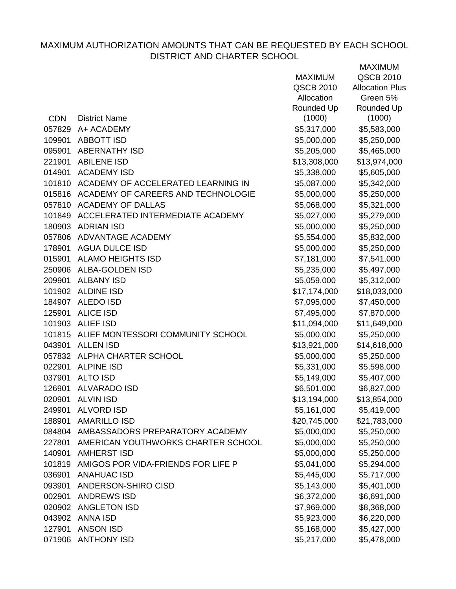|            |                                           | <b>MAXIMUM</b> | QSCB 2010              |
|------------|-------------------------------------------|----------------|------------------------|
|            |                                           | QSCB 2010      | <b>Allocation Plus</b> |
|            |                                           | Allocation     | Green 5%               |
|            |                                           | Rounded Up     | Rounded Up             |
| <b>CDN</b> | <b>District Name</b>                      | (1000)         | (1000)                 |
| 057829     | A+ ACADEMY                                | \$5,317,000    | \$5,583,000            |
| 109901     | <b>ABBOTT ISD</b>                         | \$5,000,000    | \$5,250,000            |
| 095901     | <b>ABERNATHY ISD</b>                      | \$5,205,000    | \$5,465,000            |
| 221901     | <b>ABILENE ISD</b>                        | \$13,308,000   | \$13,974,000           |
| 014901     | <b>ACADEMY ISD</b>                        | \$5,338,000    | \$5,605,000            |
| 101810     | ACADEMY OF ACCELERATED LEARNING IN        | \$5,087,000    | \$5,342,000            |
|            | 015816 ACADEMY OF CAREERS AND TECHNOLOGIE | \$5,000,000    | \$5,250,000            |
|            | 057810 ACADEMY OF DALLAS                  | \$5,068,000    | \$5,321,000            |
|            | 101849 ACCELERATED INTERMEDIATE ACADEMY   | \$5,027,000    | \$5,279,000            |
| 180903     | <b>ADRIAN ISD</b>                         | \$5,000,000    | \$5,250,000            |
|            | 057806 ADVANTAGE ACADEMY                  | \$5,554,000    | \$5,832,000            |
|            | 178901 AGUA DULCE ISD                     | \$5,000,000    | \$5,250,000            |
| 015901     | <b>ALAMO HEIGHTS ISD</b>                  | \$7,181,000    | \$7,541,000            |
|            | 250906 ALBA-GOLDEN ISD                    | \$5,235,000    | \$5,497,000            |
| 209901     | <b>ALBANY ISD</b>                         | \$5,059,000    | \$5,312,000            |
|            | 101902 ALDINE ISD                         | \$17,174,000   | \$18,033,000           |
|            | 184907 ALEDO ISD                          | \$7,095,000    | \$7,450,000            |
| 125901     | <b>ALICE ISD</b>                          | \$7,495,000    | \$7,870,000            |
|            | 101903 ALIEF ISD                          | \$11,094,000   | \$11,649,000           |
|            | 101815 ALIEF MONTESSORI COMMUNITY SCHOOL  | \$5,000,000    | \$5,250,000            |
| 043901     | <b>ALLEN ISD</b>                          | \$13,921,000   | \$14,618,000           |
|            | 057832 ALPHA CHARTER SCHOOL               | \$5,000,000    | \$5,250,000            |
| 022901     | <b>ALPINE ISD</b>                         | \$5,331,000    | \$5,598,000            |
| 037901     | <b>ALTO ISD</b>                           | \$5,149,000    | \$5,407,000            |
| 126901     | ALVARADO ISD                              | \$6,501,000    | \$6,827,000            |
| 020901     | <b>ALVIN ISD</b>                          | \$13,194,000   | \$13,854,000           |
| 249901     | <b>ALVORD ISD</b>                         | \$5,161,000    | \$5,419,000            |
| 188901     | <b>AMARILLO ISD</b>                       | \$20,745,000   | \$21,783,000           |
| 084804     | AMBASSADORS PREPARATORY ACADEMY           | \$5,000,000    | \$5,250,000            |
| 227801     | AMERICAN YOUTHWORKS CHARTER SCHOOL        | \$5,000,000    | \$5,250,000            |
| 140901     | <b>AMHERST ISD</b>                        | \$5,000,000    | \$5,250,000            |
| 101819     | AMIGOS POR VIDA-FRIENDS FOR LIFE P        | \$5,041,000    | \$5,294,000            |
| 036901     | <b>ANAHUAC ISD</b>                        | \$5,445,000    | \$5,717,000            |
| 093901     | ANDERSON-SHIRO CISD                       | \$5,143,000    | \$5,401,000            |
| 002901     | <b>ANDREWS ISD</b>                        | \$6,372,000    | \$6,691,000            |
|            | 020902 ANGLETON ISD                       | \$7,969,000    | \$8,368,000            |
| 043902     | <b>ANNA ISD</b>                           | \$5,923,000    | \$6,220,000            |
| 127901     | <b>ANSON ISD</b>                          | \$5,168,000    | \$5,427,000            |
|            | 071906 ANTHONY ISD                        | \$5,217,000    | \$5,478,000            |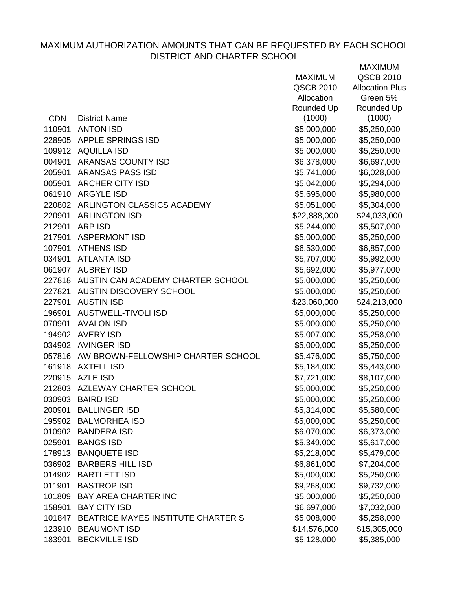|            |                                           | <b>MAXIMUM</b> | <b>QSCB 2010</b>       |
|------------|-------------------------------------------|----------------|------------------------|
|            |                                           | QSCB 2010      | <b>Allocation Plus</b> |
|            |                                           | Allocation     | Green 5%               |
|            |                                           | Rounded Up     | Rounded Up             |
| <b>CDN</b> | <b>District Name</b>                      | (1000)         | (1000)                 |
| 110901     | <b>ANTON ISD</b>                          | \$5,000,000    | \$5,250,000            |
| 228905     | <b>APPLE SPRINGS ISD</b>                  | \$5,000,000    | \$5,250,000            |
|            | 109912 AQUILLA ISD                        | \$5,000,000    | \$5,250,000            |
| 004901     | <b>ARANSAS COUNTY ISD</b>                 | \$6,378,000    | \$6,697,000            |
| 205901     | ARANSAS PASS ISD                          | \$5,741,000    | \$6,028,000            |
| 005901     | <b>ARCHER CITY ISD</b>                    | \$5,042,000    | \$5,294,000            |
|            | 061910 ARGYLE ISD                         | \$5,695,000    | \$5,980,000            |
|            | 220802 ARLINGTON CLASSICS ACADEMY         | \$5,051,000    | \$5,304,000            |
| 220901     | <b>ARLINGTON ISD</b>                      | \$22,888,000   | \$24,033,000           |
| 212901     | ARP ISD                                   | \$5,244,000    | \$5,507,000            |
| 217901     | <b>ASPERMONT ISD</b>                      | \$5,000,000    | \$5,250,000            |
| 107901     | <b>ATHENS ISD</b>                         | \$6,530,000    | \$6,857,000            |
| 034901     | <b>ATLANTA ISD</b>                        | \$5,707,000    | \$5,992,000            |
|            | 061907 AUBREY ISD                         | \$5,692,000    | \$5,977,000            |
|            | 227818 AUSTIN CAN ACADEMY CHARTER SCHOOL  | \$5,000,000    | \$5,250,000            |
| 227821     | AUSTIN DISCOVERY SCHOOL                   | \$5,000,000    | \$5,250,000            |
| 227901     | <b>AUSTIN ISD</b>                         | \$23,060,000   | \$24,213,000           |
| 196901     | <b>AUSTWELL-TIVOLI ISD</b>                | \$5,000,000    | \$5,250,000            |
| 070901     | <b>AVALON ISD</b>                         | \$5,000,000    | \$5,250,000            |
|            | 194902 AVERY ISD                          | \$5,007,000    | \$5,258,000            |
|            | 034902 AVINGER ISD                        | \$5,000,000    | \$5,250,000            |
|            | 057816 AW BROWN-FELLOWSHIP CHARTER SCHOOL | \$5,476,000    | \$5,750,000            |
| 161918     | <b>AXTELL ISD</b>                         | \$5,184,000    | \$5,443,000            |
|            | 220915 AZLE ISD                           | \$7,721,000    | \$8,107,000            |
|            | 212803 AZLEWAY CHARTER SCHOOL             | \$5,000,000    | \$5,250,000            |
|            | 030903 BAIRD ISD                          | \$5,000,000    | \$5,250,000            |
| 200901     | <b>BALLINGER ISD</b>                      | \$5,314,000    | \$5,580,000            |
|            | 195902 BALMORHEA ISD                      | \$5,000,000    | \$5,250,000            |
|            | 010902 BANDERA ISD                        | \$6,070,000    | \$6,373,000            |
| 025901     | <b>BANGS ISD</b>                          | \$5,349,000    | \$5,617,000            |
|            | 178913 BANQUETE ISD                       | \$5,218,000    | \$5,479,000            |
|            | 036902 BARBERS HILL ISD                   | \$6,861,000    | \$7,204,000            |
|            | 014902 BARTLETT ISD                       | \$5,000,000    | \$5,250,000            |
| 011901     | <b>BASTROP ISD</b>                        | \$9,268,000    | \$9,732,000            |
| 101809     | <b>BAY AREA CHARTER INC</b>               | \$5,000,000    | \$5,250,000            |
| 158901     | <b>BAY CITY ISD</b>                       | \$6,697,000    | \$7,032,000            |
| 101847     | BEATRICE MAYES INSTITUTE CHARTER S        | \$5,008,000    | \$5,258,000            |
|            | 123910 BEAUMONT ISD                       | \$14,576,000   | \$15,305,000           |
| 183901     | <b>BECKVILLE ISD</b>                      | \$5,128,000    | \$5,385,000            |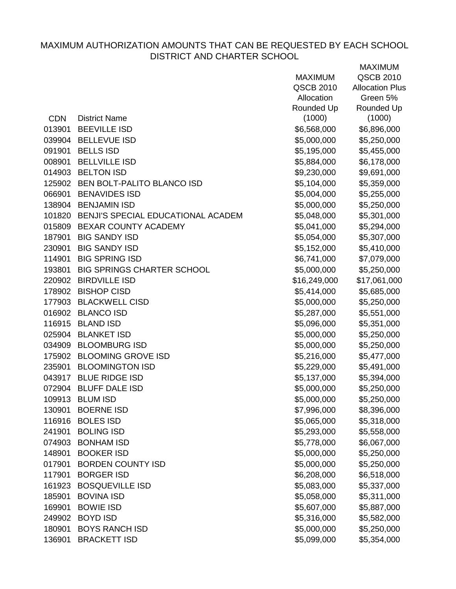|            |                                           | <b>MAXIMUM</b> | QSCB 2010              |
|------------|-------------------------------------------|----------------|------------------------|
|            |                                           | QSCB 2010      | <b>Allocation Plus</b> |
|            |                                           | Allocation     | Green 5%               |
|            |                                           | Rounded Up     | Rounded Up             |
| <b>CDN</b> | <b>District Name</b>                      | (1000)         | (1000)                 |
| 013901     | <b>BEEVILLE ISD</b>                       | \$6,568,000    | \$6,896,000            |
|            | 039904 BELLEVUE ISD                       | \$5,000,000    | \$5,250,000            |
| 091901     | <b>BELLS ISD</b>                          | \$5,195,000    | \$5,455,000            |
| 008901     | <b>BELLVILLE ISD</b>                      | \$5,884,000    | \$6,178,000            |
|            | 014903 BELTON ISD                         | \$9,230,000    | \$9,691,000            |
|            | 125902 BEN BOLT-PALITO BLANCO ISD         | \$5,104,000    | \$5,359,000            |
|            | 066901 BENAVIDES ISD                      | \$5,004,000    | \$5,255,000            |
|            | 138904 BENJAMIN ISD                       | \$5,000,000    | \$5,250,000            |
|            | 101820 BENJI'S SPECIAL EDUCATIONAL ACADEM | \$5,048,000    | \$5,301,000            |
| 015809     | <b>BEXAR COUNTY ACADEMY</b>               | \$5,041,000    | \$5,294,000            |
| 187901     | <b>BIG SANDY ISD</b>                      | \$5,054,000    | \$5,307,000            |
| 230901     | <b>BIG SANDY ISD</b>                      | \$5,152,000    | \$5,410,000            |
| 114901     | <b>BIG SPRING ISD</b>                     | \$6,741,000    | \$7,079,000            |
| 193801     | <b>BIG SPRINGS CHARTER SCHOOL</b>         | \$5,000,000    | \$5,250,000            |
| 220902     | <b>BIRDVILLE ISD</b>                      | \$16,249,000   | \$17,061,000           |
|            | 178902 BISHOP CISD                        | \$5,414,000    | \$5,685,000            |
|            | 177903 BLACKWELL CISD                     | \$5,000,000    | \$5,250,000            |
|            | 016902 BLANCO ISD                         | \$5,287,000    | \$5,551,000            |
|            | 116915 BLAND ISD                          | \$5,096,000    | \$5,351,000            |
|            | 025904 BLANKET ISD                        | \$5,000,000    | \$5,250,000            |
|            | 034909 BLOOMBURG ISD                      | \$5,000,000    | \$5,250,000            |
|            | 175902 BLOOMING GROVE ISD                 | \$5,216,000    | \$5,477,000            |
| 235901     | <b>BLOOMINGTON ISD</b>                    | \$5,229,000    | \$5,491,000            |
|            | 043917 BLUE RIDGE ISD                     | \$5,137,000    | \$5,394,000            |
|            | 072904 BLUFF DALE ISD                     | \$5,000,000    | \$5,250,000            |
|            | 109913 BLUM ISD                           | \$5,000,000    | \$5,250,000            |
| 130901     | <b>BOERNE ISD</b>                         | \$7,996,000    | \$8,396,000            |
| 116916     | <b>BOLES ISD</b>                          | \$5,065,000    | \$5,318,000            |
| 241901     | <b>BOLING ISD</b>                         | \$5,293,000    | \$5,558,000            |
| 074903     | <b>BONHAM ISD</b>                         | \$5,778,000    | \$6,067,000            |
| 148901     | <b>BOOKER ISD</b>                         | \$5,000,000    | \$5,250,000            |
| 017901     | <b>BORDEN COUNTY ISD</b>                  | \$5,000,000    | \$5,250,000            |
| 117901     | <b>BORGER ISD</b>                         | \$6,208,000    | \$6,518,000            |
| 161923     | <b>BOSQUEVILLE ISD</b>                    | \$5,083,000    | \$5,337,000            |
| 185901     | <b>BOVINA ISD</b>                         | \$5,058,000    | \$5,311,000            |
| 169901     | <b>BOWIE ISD</b>                          | \$5,607,000    | \$5,887,000            |
| 249902     | <b>BOYD ISD</b>                           | \$5,316,000    | \$5,582,000            |
| 180901     | <b>BOYS RANCH ISD</b>                     | \$5,000,000    | \$5,250,000            |
| 136901     | <b>BRACKETT ISD</b>                       | \$5,099,000    | \$5,354,000            |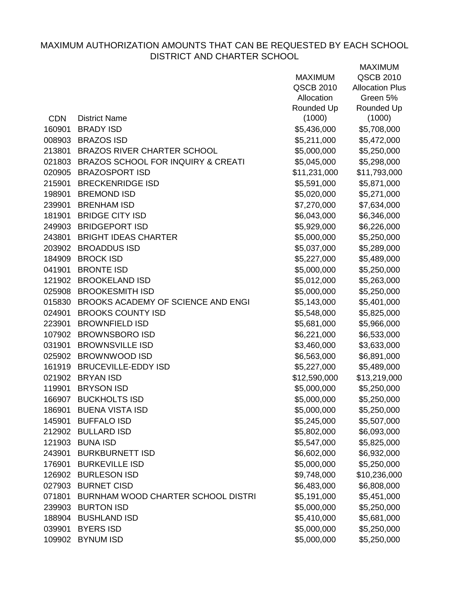|            |                                    | <b>MAXIMUM</b> | QSCB 2010              |
|------------|------------------------------------|----------------|------------------------|
|            |                                    | QSCB 2010      | <b>Allocation Plus</b> |
|            |                                    | Allocation     | Green 5%               |
|            |                                    | Rounded Up     | Rounded Up             |
| <b>CDN</b> | <b>District Name</b>               | (1000)         | (1000)                 |
| 160901     | <b>BRADY ISD</b>                   | \$5,436,000    | \$5,708,000            |
| 008903     | <b>BRAZOS ISD</b>                  | \$5,211,000    | \$5,472,000            |
| 213801     | <b>BRAZOS RIVER CHARTER SCHOOL</b> | \$5,000,000    | \$5,250,000            |
| 021803     | BRAZOS SCHOOL FOR INQUIRY & CREATI | \$5,045,000    | \$5,298,000            |
| 020905     | <b>BRAZOSPORT ISD</b>              | \$11,231,000   | \$11,793,000           |
| 215901     | <b>BRECKENRIDGE ISD</b>            | \$5,591,000    | \$5,871,000            |
| 198901     | <b>BREMOND ISD</b>                 | \$5,020,000    | \$5,271,000            |
| 239901     | <b>BRENHAM ISD</b>                 | \$7,270,000    | \$7,634,000            |
| 181901     | <b>BRIDGE CITY ISD</b>             | \$6,043,000    | \$6,346,000            |
| 249903     | <b>BRIDGEPORT ISD</b>              | \$5,929,000    | \$6,226,000            |
|            | 243801 BRIGHT IDEAS CHARTER        | \$5,000,000    | \$5,250,000            |
| 203902     | <b>BROADDUS ISD</b>                | \$5,037,000    | \$5,289,000            |
| 184909     | <b>BROCK ISD</b>                   | \$5,227,000    | \$5,489,000            |
| 041901     | <b>BRONTE ISD</b>                  | \$5,000,000    | \$5,250,000            |
| 121902     | <b>BROOKELAND ISD</b>              | \$5,012,000    | \$5,263,000            |
|            | 025908 BROOKESMITH ISD             | \$5,000,000    | \$5,250,000            |
| 015830     | BROOKS ACADEMY OF SCIENCE AND ENGI | \$5,143,000    | \$5,401,000            |
| 024901     | <b>BROOKS COUNTY ISD</b>           | \$5,548,000    | \$5,825,000            |
| 223901     | <b>BROWNFIELD ISD</b>              | \$5,681,000    | \$5,966,000            |
| 107902     | <b>BROWNSBORO ISD</b>              | \$6,221,000    | \$6,533,000            |
| 031901     | <b>BROWNSVILLE ISD</b>             | \$3,460,000    | \$3,633,000            |
|            | 025902 BROWNWOOD ISD               | \$6,563,000    | \$6,891,000            |
| 161919     | <b>BRUCEVILLE-EDDY ISD</b>         | \$5,227,000    | \$5,489,000            |
|            | 021902 BRYAN ISD                   | \$12,590,000   | \$13,219,000           |
| 119901     | <b>BRYSON ISD</b>                  | \$5,000,000    | \$5,250,000            |
|            | 166907 BUCKHOLTS ISD               | \$5,000,000    | \$5,250,000            |
| 186901     | <b>BUENA VISTA ISD</b>             | \$5,000,000    | \$5,250,000            |
| 145901     | <b>BUFFALO ISD</b>                 | \$5,245,000    | \$5,507,000            |
| 212902     | <b>BULLARD ISD</b>                 | \$5,802,000    | \$6,093,000            |
| 121903     | <b>BUNA ISD</b>                    | \$5,547,000    | \$5,825,000            |
| 243901     | <b>BURKBURNETT ISD</b>             | \$6,602,000    | \$6,932,000            |
| 176901     | <b>BURKEVILLE ISD</b>              | \$5,000,000    | \$5,250,000            |
| 126902     | <b>BURLESON ISD</b>                | \$9,748,000    | \$10,236,000           |
| 027903     | <b>BURNET CISD</b>                 | \$6,483,000    | \$6,808,000            |
| 071801     | BURNHAM WOOD CHARTER SCHOOL DISTRI | \$5,191,000    | \$5,451,000            |
| 239903     | <b>BURTON ISD</b>                  | \$5,000,000    | \$5,250,000            |
| 188904     | <b>BUSHLAND ISD</b>                | \$5,410,000    | \$5,681,000            |
| 039901     | <b>BYERS ISD</b>                   | \$5,000,000    | \$5,250,000            |
| 109902     | <b>BYNUM ISD</b>                   | \$5,000,000    | \$5,250,000            |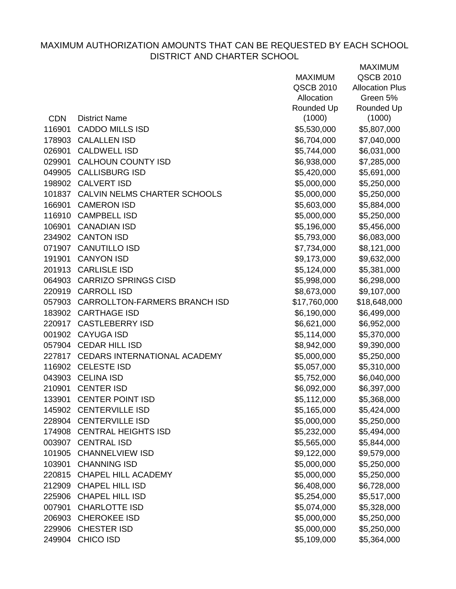|            |                                      | <b>MAXIMUM</b> | QSCB 2010              |
|------------|--------------------------------------|----------------|------------------------|
|            |                                      | QSCB 2010      | <b>Allocation Plus</b> |
|            |                                      | Allocation     | Green 5%               |
|            |                                      | Rounded Up     | Rounded Up             |
| <b>CDN</b> | <b>District Name</b>                 | (1000)         | (1000)                 |
| 116901     | <b>CADDO MILLS ISD</b>               | \$5,530,000    | \$5,807,000            |
|            | 178903 CALALLEN ISD                  | \$6,704,000    | \$7,040,000            |
| 026901     | <b>CALDWELL ISD</b>                  | \$5,744,000    | \$6,031,000            |
|            | 029901 CALHOUN COUNTY ISD            | \$6,938,000    | \$7,285,000            |
|            | 049905 CALLISBURG ISD                | \$5,420,000    | \$5,691,000            |
|            | 198902 CALVERT ISD                   | \$5,000,000    | \$5,250,000            |
|            | 101837 CALVIN NELMS CHARTER SCHOOLS  | \$5,000,000    | \$5,250,000            |
|            | 166901 CAMERON ISD                   | \$5,603,000    | \$5,884,000            |
|            | 116910 CAMPBELL ISD                  | \$5,000,000    | \$5,250,000            |
|            | 106901 CANADIAN ISD                  | \$5,196,000    | \$5,456,000            |
|            | 234902 CANTON ISD                    | \$5,793,000    | \$6,083,000            |
|            | 071907 CANUTILLO ISD                 | \$7,734,000    | \$8,121,000            |
|            | 191901 CANYON ISD                    | \$9,173,000    | \$9,632,000            |
|            | 201913 CARLISLE ISD                  | \$5,124,000    | \$5,381,000            |
|            | 064903 CARRIZO SPRINGS CISD          | \$5,998,000    | \$6,298,000            |
|            | 220919 CARROLL ISD                   | \$8,673,000    | \$9,107,000            |
|            | 057903 CARROLLTON-FARMERS BRANCH ISD | \$17,760,000   | \$18,648,000           |
|            | 183902 CARTHAGE ISD                  | \$6,190,000    | \$6,499,000            |
|            | 220917 CASTLEBERRY ISD               | \$6,621,000    | \$6,952,000            |
| 001902     | <b>CAYUGA ISD</b>                    | \$5,114,000    | \$5,370,000            |
|            | 057904 CEDAR HILL ISD                | \$8,942,000    | \$9,390,000            |
|            | 227817 CEDARS INTERNATIONAL ACADEMY  | \$5,000,000    | \$5,250,000            |
|            | 116902 CELESTE ISD                   | \$5,057,000    | \$5,310,000            |
|            | 043903 CELINA ISD                    | \$5,752,000    | \$6,040,000            |
|            | 210901 CENTER ISD                    | \$6,092,000    | \$6,397,000            |
|            | 133901 CENTER POINT ISD              | \$5,112,000    | \$5,368,000            |
|            | 145902 CENTERVILLE ISD               | \$5,165,000    | \$5,424,000            |
| 228904     | <b>CENTERVILLE ISD</b>               | \$5,000,000    | \$5,250,000            |
|            | 174908 CENTRAL HEIGHTS ISD           | \$5,232,000    | \$5,494,000            |
| 003907     | <b>CENTRAL ISD</b>                   | \$5,565,000    | \$5,844,000            |
| 101905     | <b>CHANNELVIEW ISD</b>               | \$9,122,000    | \$9,579,000            |
| 103901     | <b>CHANNING ISD</b>                  | \$5,000,000    | \$5,250,000            |
| 220815     | <b>CHAPEL HILL ACADEMY</b>           | \$5,000,000    | \$5,250,000            |
| 212909     | <b>CHAPEL HILL ISD</b>               | \$6,408,000    | \$6,728,000            |
| 225906     | <b>CHAPEL HILL ISD</b>               | \$5,254,000    | \$5,517,000            |
| 007901     | <b>CHARLOTTE ISD</b>                 | \$5,074,000    | \$5,328,000            |
| 206903     | <b>CHEROKEE ISD</b>                  | \$5,000,000    | \$5,250,000            |
|            | 229906 CHESTER ISD                   | \$5,000,000    | \$5,250,000            |
| 249904     | <b>CHICO ISD</b>                     | \$5,109,000    | \$5,364,000            |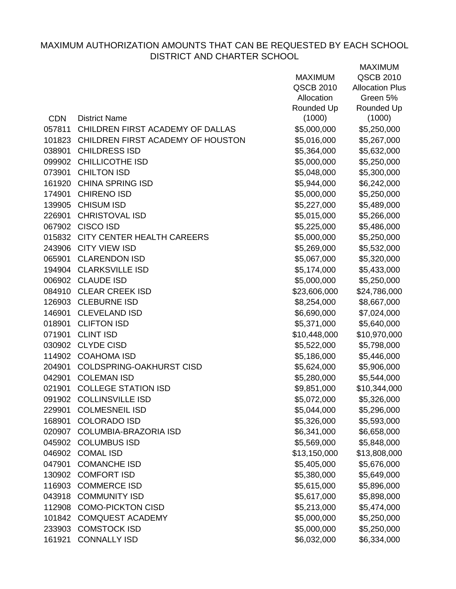|            |                                   | <b>MAXIMUM</b> | <b>QSCB 2010</b>       |
|------------|-----------------------------------|----------------|------------------------|
|            |                                   | QSCB 2010      | <b>Allocation Plus</b> |
|            |                                   | Allocation     | Green 5%               |
|            |                                   | Rounded Up     | Rounded Up             |
| <b>CDN</b> | <b>District Name</b>              | (1000)         | (1000)                 |
| 057811     | CHILDREN FIRST ACADEMY OF DALLAS  | \$5,000,000    | \$5,250,000            |
| 101823     | CHILDREN FIRST ACADEMY OF HOUSTON | \$5,016,000    | \$5,267,000            |
| 038901     | <b>CHILDRESS ISD</b>              | \$5,364,000    | \$5,632,000            |
| 099902     | <b>CHILLICOTHE ISD</b>            | \$5,000,000    | \$5,250,000            |
| 073901     | <b>CHILTON ISD</b>                | \$5,048,000    | \$5,300,000            |
|            | 161920 CHINA SPRING ISD           | \$5,944,000    | \$6,242,000            |
| 174901     | <b>CHIRENO ISD</b>                | \$5,000,000    | \$5,250,000            |
|            | 139905 CHISUM ISD                 | \$5,227,000    | \$5,489,000            |
| 226901     | <b>CHRISTOVAL ISD</b>             | \$5,015,000    | \$5,266,000            |
| 067902     | <b>CISCO ISD</b>                  | \$5,225,000    | \$5,486,000            |
|            | 015832 CITY CENTER HEALTH CAREERS | \$5,000,000    | \$5,250,000            |
| 243906     | <b>CITY VIEW ISD</b>              | \$5,269,000    | \$5,532,000            |
| 065901     | <b>CLARENDON ISD</b>              | \$5,067,000    | \$5,320,000            |
| 194904     | <b>CLARKSVILLE ISD</b>            | \$5,174,000    | \$5,433,000            |
|            | 006902 CLAUDE ISD                 | \$5,000,000    | \$5,250,000            |
| 084910     | <b>CLEAR CREEK ISD</b>            | \$23,606,000   | \$24,786,000           |
|            | 126903 CLEBURNE ISD               | \$8,254,000    | \$8,667,000            |
|            | 146901 CLEVELAND ISD              | \$6,690,000    | \$7,024,000            |
| 018901     | <b>CLIFTON ISD</b>                | \$5,371,000    | \$5,640,000            |
| 071901     | <b>CLINT ISD</b>                  | \$10,448,000   | \$10,970,000           |
| 030902     | <b>CLYDE CISD</b>                 | \$5,522,000    | \$5,798,000            |
| 114902     | <b>COAHOMA ISD</b>                | \$5,186,000    | \$5,446,000            |
| 204901     | <b>COLDSPRING-OAKHURST CISD</b>   | \$5,624,000    | \$5,906,000            |
| 042901     | <b>COLEMAN ISD</b>                | \$5,280,000    | \$5,544,000            |
| 021901     | <b>COLLEGE STATION ISD</b>        | \$9,851,000    | \$10,344,000           |
| 091902     | <b>COLLINSVILLE ISD</b>           | \$5,072,000    | \$5,326,000            |
| 229901     | <b>COLMESNEIL ISD</b>             | \$5,044,000    | \$5,296,000            |
| 168901     | <b>COLORADO ISD</b>               | \$5,326,000    | \$5,593,000            |
| 020907     | <b>COLUMBIA-BRAZORIA ISD</b>      | \$6,341,000    | \$6,658,000            |
| 045902     | <b>COLUMBUS ISD</b>               | \$5,569,000    | \$5,848,000            |
| 046902     | <b>COMAL ISD</b>                  | \$13,150,000   | \$13,808,000           |
| 047901     | <b>COMANCHE ISD</b>               | \$5,405,000    | \$5,676,000            |
| 130902     | <b>COMFORT ISD</b>                | \$5,380,000    | \$5,649,000            |
| 116903     | <b>COMMERCE ISD</b>               | \$5,615,000    | \$5,896,000            |
| 043918     | <b>COMMUNITY ISD</b>              | \$5,617,000    | \$5,898,000            |
| 112908     | <b>COMO-PICKTON CISD</b>          | \$5,213,000    | \$5,474,000            |
| 101842     | <b>COMQUEST ACADEMY</b>           | \$5,000,000    | \$5,250,000            |
| 233903     | <b>COMSTOCK ISD</b>               | \$5,000,000    | \$5,250,000            |
| 161921     | <b>CONNALLY ISD</b>               | \$6,032,000    | \$6,334,000            |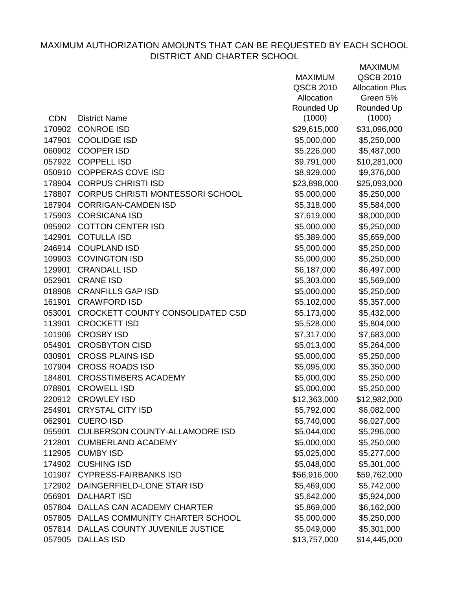|            |                                         | <b>MAXIMUM</b> | QSCB 2010              |
|------------|-----------------------------------------|----------------|------------------------|
|            |                                         | QSCB 2010      | <b>Allocation Plus</b> |
|            |                                         | Allocation     | Green 5%               |
|            |                                         | Rounded Up     | Rounded Up             |
| <b>CDN</b> | <b>District Name</b>                    | (1000)         | (1000)                 |
| 170902     | <b>CONROE ISD</b>                       | \$29,615,000   | \$31,096,000           |
| 147901     | <b>COOLIDGE ISD</b>                     | \$5,000,000    | \$5,250,000            |
| 060902     | <b>COOPER ISD</b>                       | \$5,226,000    | \$5,487,000            |
|            | 057922 COPPELL ISD                      | \$9,791,000    | \$10,281,000           |
|            | 050910 COPPERAS COVE ISD                | \$8,929,000    | \$9,376,000            |
| 178904     | <b>CORPUS CHRISTI ISD</b>               | \$23,898,000   | \$25,093,000           |
|            | 178807 CORPUS CHRISTI MONTESSORI SCHOOL | \$5,000,000    | \$5,250,000            |
| 187904     | <b>CORRIGAN-CAMDEN ISD</b>              | \$5,318,000    | \$5,584,000            |
|            | 175903 CORSICANA ISD                    | \$7,619,000    | \$8,000,000            |
| 095902     | <b>COTTON CENTER ISD</b>                | \$5,000,000    | \$5,250,000            |
| 142901     | <b>COTULLA ISD</b>                      | \$5,389,000    | \$5,659,000            |
|            | 246914 COUPLAND ISD                     | \$5,000,000    | \$5,250,000            |
| 109903     | <b>COVINGTON ISD</b>                    | \$5,000,000    | \$5,250,000            |
| 129901     | <b>CRANDALL ISD</b>                     | \$6,187,000    | \$6,497,000            |
| 052901     | <b>CRANE ISD</b>                        | \$5,303,000    | \$5,569,000            |
| 018908     | <b>CRANFILLS GAP ISD</b>                | \$5,000,000    | \$5,250,000            |
| 161901     | <b>CRAWFORD ISD</b>                     | \$5,102,000    | \$5,357,000            |
| 053001     | CROCKETT COUNTY CONSOLIDATED CSD        | \$5,173,000    | \$5,432,000            |
| 113901     | <b>CROCKETT ISD</b>                     | \$5,528,000    | \$5,804,000            |
| 101906     | <b>CROSBY ISD</b>                       | \$7,317,000    | \$7,683,000            |
| 054901     | <b>CROSBYTON CISD</b>                   | \$5,013,000    | \$5,264,000            |
| 030901     | <b>CROSS PLAINS ISD</b>                 | \$5,000,000    | \$5,250,000            |
|            | 107904 CROSS ROADS ISD                  | \$5,095,000    | \$5,350,000            |
| 184801     | <b>CROSSTIMBERS ACADEMY</b>             | \$5,000,000    | \$5,250,000            |
| 078901     | <b>CROWELL ISD</b>                      | \$5,000,000    | \$5,250,000            |
|            | 220912 CROWLEY ISD                      | \$12,363,000   | \$12,982,000           |
| 254901     | <b>CRYSTAL CITY ISD</b>                 | \$5,792,000    | \$6,082,000            |
| 062901     | <b>CUERO ISD</b>                        | \$5,740,000    | \$6,027,000            |
| 055901     | <b>CULBERSON COUNTY-ALLAMOORE ISD</b>   | \$5,044,000    | \$5,296,000            |
| 212801     | <b>CUMBERLAND ACADEMY</b>               | \$5,000,000    | \$5,250,000            |
|            | 112905 CUMBY ISD                        | \$5,025,000    | \$5,277,000            |
| 174902     | <b>CUSHING ISD</b>                      | \$5,048,000    | \$5,301,000            |
| 101907     | <b>CYPRESS-FAIRBANKS ISD</b>            | \$56,916,000   | \$59,762,000           |
| 172902     | DAINGERFIELD-LONE STAR ISD              | \$5,469,000    | \$5,742,000            |
| 056901     | <b>DALHART ISD</b>                      | \$5,642,000    | \$5,924,000            |
| 057804     | DALLAS CAN ACADEMY CHARTER              | \$5,869,000    | \$6,162,000            |
|            | 057805 DALLAS COMMUNITY CHARTER SCHOOL  | \$5,000,000    | \$5,250,000            |
|            | 057814 DALLAS COUNTY JUVENILE JUSTICE   | \$5,049,000    | \$5,301,000            |
| 057905     | <b>DALLAS ISD</b>                       | \$13,757,000   | \$14,445,000           |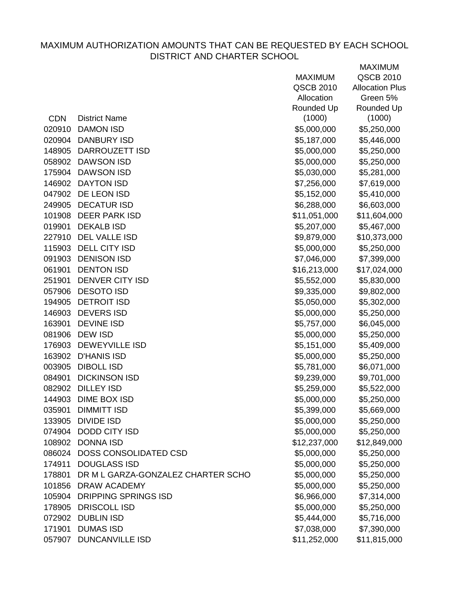|            |                                    | <b>MAXIMUM</b> | QSCB 2010              |
|------------|------------------------------------|----------------|------------------------|
|            |                                    | QSCB 2010      | <b>Allocation Plus</b> |
|            |                                    | Allocation     | Green 5%               |
|            |                                    | Rounded Up     | Rounded Up             |
| <b>CDN</b> | <b>District Name</b>               | (1000)         | (1000)                 |
| 020910     | <b>DAMON ISD</b>                   | \$5,000,000    | \$5,250,000            |
| 020904     | <b>DANBURY ISD</b>                 | \$5,187,000    | \$5,446,000            |
| 148905     | <b>DARROUZETT ISD</b>              | \$5,000,000    | \$5,250,000            |
| 058902     | <b>DAWSON ISD</b>                  | \$5,000,000    | \$5,250,000            |
| 175904     | <b>DAWSON ISD</b>                  | \$5,030,000    | \$5,281,000            |
| 146902     | <b>DAYTON ISD</b>                  | \$7,256,000    | \$7,619,000            |
|            | 047902 DE LEON ISD                 | \$5,152,000    | \$5,410,000            |
| 249905     | <b>DECATUR ISD</b>                 | \$6,288,000    | \$6,603,000            |
|            | 101908 DEER PARK ISD               | \$11,051,000   | \$11,604,000           |
| 019901     | <b>DEKALB ISD</b>                  | \$5,207,000    | \$5,467,000            |
| 227910     | <b>DEL VALLE ISD</b>               | \$9,879,000    | \$10,373,000           |
|            | 115903 DELL CITY ISD               | \$5,000,000    | \$5,250,000            |
| 091903     | <b>DENISON ISD</b>                 | \$7,046,000    | \$7,399,000            |
| 061901     | <b>DENTON ISD</b>                  | \$16,213,000   | \$17,024,000           |
| 251901     | <b>DENVER CITY ISD</b>             | \$5,552,000    | \$5,830,000            |
| 057906     | <b>DESOTO ISD</b>                  | \$9,335,000    | \$9,802,000            |
| 194905     | <b>DETROIT ISD</b>                 | \$5,050,000    | \$5,302,000            |
| 146903     | <b>DEVERS ISD</b>                  | \$5,000,000    | \$5,250,000            |
| 163901     | <b>DEVINE ISD</b>                  | \$5,757,000    | \$6,045,000            |
| 081906     | <b>DEW ISD</b>                     | \$5,000,000    | \$5,250,000            |
| 176903     | <b>DEWEYVILLE ISD</b>              | \$5,151,000    | \$5,409,000            |
| 163902     | <b>D'HANIS ISD</b>                 | \$5,000,000    | \$5,250,000            |
| 003905     | <b>DIBOLL ISD</b>                  | \$5,781,000    | \$6,071,000            |
| 084901     | <b>DICKINSON ISD</b>               | \$9,239,000    | \$9,701,000            |
| 082902     | <b>DILLEY ISD</b>                  | \$5,259,000    | \$5,522,000            |
|            | 144903 DIME BOX ISD                | \$5,000,000    | \$5,250,000            |
| 035901     | <b>DIMMITT ISD</b>                 | \$5,399,000    | \$5,669,000            |
| 133905     | <b>DIVIDE ISD</b>                  | \$5,000,000    | \$5,250,000            |
|            | 074904 DODD CITY ISD               | \$5,000,000    | \$5,250,000            |
|            | 108902 DONNA ISD                   | \$12,237,000   | \$12,849,000           |
| 086024     | DOSS CONSOLIDATED CSD              | \$5,000,000    | \$5,250,000            |
| 174911     | <b>DOUGLASS ISD</b>                | \$5,000,000    | \$5,250,000            |
| 178801     | DR M L GARZA-GONZALEZ CHARTER SCHO | \$5,000,000    | \$5,250,000            |
| 101856     | <b>DRAW ACADEMY</b>                | \$5,000,000    | \$5,250,000            |
| 105904     | <b>DRIPPING SPRINGS ISD</b>        | \$6,966,000    | \$7,314,000            |
| 178905     | <b>DRISCOLL ISD</b>                | \$5,000,000    | \$5,250,000            |
| 072902     | <b>DUBLIN ISD</b>                  | \$5,444,000    | \$5,716,000            |
| 171901     | <b>DUMAS ISD</b>                   | \$7,038,000    | \$7,390,000            |
| 057907     | <b>DUNCANVILLE ISD</b>             | \$11,252,000   | \$11,815,000           |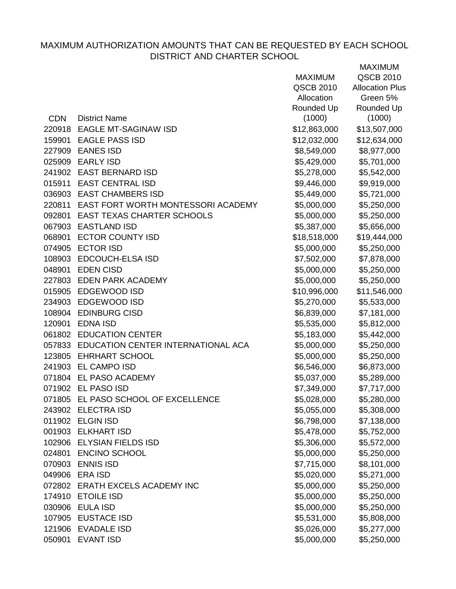|            |                                           | <b>MAXIMUM</b> | QSCB 2010              |
|------------|-------------------------------------------|----------------|------------------------|
|            |                                           | QSCB 2010      | <b>Allocation Plus</b> |
|            |                                           | Allocation     | Green 5%               |
|            |                                           | Rounded Up     | Rounded Up             |
| <b>CDN</b> | <b>District Name</b>                      | (1000)         | (1000)                 |
|            | 220918 EAGLE MT-SAGINAW ISD               | \$12,863,000   | \$13,507,000           |
| 159901     | <b>EAGLE PASS ISD</b>                     | \$12,032,000   | \$12,634,000           |
|            | 227909 EANES ISD                          | \$8,549,000    | \$8,977,000            |
|            | 025909 EARLY ISD                          | \$5,429,000    | \$5,701,000            |
|            | 241902 EAST BERNARD ISD                   | \$5,278,000    | \$5,542,000            |
| 015911     | <b>EAST CENTRAL ISD</b>                   | \$9,446,000    | \$9,919,000            |
|            | 036903 EAST CHAMBERS ISD                  | \$5,449,000    | \$5,721,000            |
|            | 220811 EAST FORT WORTH MONTESSORI ACADEMY | \$5,000,000    | \$5,250,000            |
| 092801     | <b>EAST TEXAS CHARTER SCHOOLS</b>         | \$5,000,000    | \$5,250,000            |
|            | 067903 EASTLAND ISD                       | \$5,387,000    | \$5,656,000            |
| 068901     | <b>ECTOR COUNTY ISD</b>                   | \$18,518,000   | \$19,444,000           |
|            | 074905 ECTOR ISD                          | \$5,000,000    | \$5,250,000            |
| 108903     | <b>EDCOUCH-ELSA ISD</b>                   | \$7,502,000    | \$7,878,000            |
| 048901     | <b>EDEN CISD</b>                          | \$5,000,000    | \$5,250,000            |
|            | 227803 EDEN PARK ACADEMY                  | \$5,000,000    | \$5,250,000            |
|            | 015905 EDGEWOOD ISD                       | \$10,996,000   | \$11,546,000           |
|            | 234903 EDGEWOOD ISD                       | \$5,270,000    | \$5,533,000            |
|            | 108904 EDINBURG CISD                      | \$6,839,000    | \$7,181,000            |
| 120901     | <b>EDNA ISD</b>                           | \$5,535,000    | \$5,812,000            |
|            | 061802 EDUCATION CENTER                   | \$5,183,000    | \$5,442,000            |
|            | 057833 EDUCATION CENTER INTERNATIONAL ACA | \$5,000,000    | \$5,250,000            |
|            | 123805 EHRHART SCHOOL                     | \$5,000,000    | \$5,250,000            |
|            | 241903 EL CAMPO ISD                       | \$6,546,000    | \$6,873,000            |
|            | 071804 EL PASO ACADEMY                    | \$5,037,000    | \$5,289,000            |
|            | 071902 EL PASO ISD                        | \$7,349,000    | \$7,717,000            |
|            | 071805 EL PASO SCHOOL OF EXCELLENCE       | \$5,028,000    | \$5,280,000            |
| 243902     | <b>ELECTRA ISD</b>                        | \$5,055,000    | \$5,308,000            |
|            | 011902 ELGIN ISD                          | \$6,798,000    | \$7,138,000            |
|            | 001903 ELKHART ISD                        | \$5,478,000    | \$5,752,000            |
|            | 102906 ELYSIAN FIELDS ISD                 | \$5,306,000    | \$5,572,000            |
| 024801     | <b>ENCINO SCHOOL</b>                      | \$5,000,000    | \$5,250,000            |
| 070903     | <b>ENNIS ISD</b>                          | \$7,715,000    | \$8,101,000            |
| 049906     | <b>ERA ISD</b>                            | \$5,020,000    | \$5,271,000            |
|            | 072802 ERATH EXCELS ACADEMY INC           | \$5,000,000    | \$5,250,000            |
| 174910     | <b>ETOILE ISD</b>                         | \$5,000,000    | \$5,250,000            |
|            | 030906 EULA ISD                           | \$5,000,000    | \$5,250,000            |
| 107905     | <b>EUSTACE ISD</b>                        | \$5,531,000    | \$5,808,000            |
|            | 121906 EVADALE ISD                        | \$5,026,000    | \$5,277,000            |
| 050901     | <b>EVANT ISD</b>                          | \$5,000,000    | \$5,250,000            |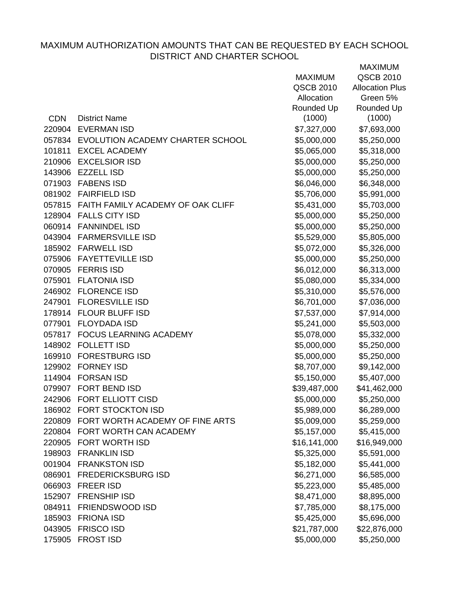|            |                                          | <b>MAXIMUM</b>   | QSCB 2010              |
|------------|------------------------------------------|------------------|------------------------|
|            |                                          | <b>QSCB 2010</b> | <b>Allocation Plus</b> |
|            |                                          | Allocation       | Green 5%               |
|            |                                          | Rounded Up       | Rounded Up             |
| <b>CDN</b> | <b>District Name</b>                     | (1000)           | (1000)                 |
|            | 220904 EVERMAN ISD                       | \$7,327,000      | \$7,693,000            |
|            | 057834 EVOLUTION ACADEMY CHARTER SCHOOL  | \$5,000,000      | \$5,250,000            |
| 101811     | <b>EXCEL ACADEMY</b>                     | \$5,065,000      | \$5,318,000            |
|            | 210906 EXCELSIOR ISD                     | \$5,000,000      | \$5,250,000            |
|            | 143906 EZZELL ISD                        | \$5,000,000      | \$5,250,000            |
|            | 071903 FABENS ISD                        | \$6,046,000      | \$6,348,000            |
|            | 081902 FAIRFIELD ISD                     | \$5,706,000      | \$5,991,000            |
|            | 057815 FAITH FAMILY ACADEMY OF OAK CLIFF | \$5,431,000      | \$5,703,000            |
|            | 128904 FALLS CITY ISD                    | \$5,000,000      | \$5,250,000            |
|            | 060914 FANNINDEL ISD                     | \$5,000,000      | \$5,250,000            |
|            | 043904 FARMERSVILLE ISD                  | \$5,529,000      | \$5,805,000            |
|            | 185902 FARWELL ISD                       | \$5,072,000      | \$5,326,000            |
|            | 075906 FAYETTEVILLE ISD                  | \$5,000,000      | \$5,250,000            |
|            | 070905 FERRIS ISD                        | \$6,012,000      | \$6,313,000            |
|            | 075901 FLATONIA ISD                      | \$5,080,000      | \$5,334,000            |
|            | 246902 FLORENCE ISD                      | \$5,310,000      | \$5,576,000            |
| 247901     | <b>FLORESVILLE ISD</b>                   | \$6,701,000      | \$7,036,000            |
|            | 178914 FLOUR BLUFF ISD                   | \$7,537,000      | \$7,914,000            |
| 077901     | <b>FLOYDADA ISD</b>                      | \$5,241,000      | \$5,503,000            |
|            | 057817 FOCUS LEARNING ACADEMY            | \$5,078,000      | \$5,332,000            |
|            | 148902 FOLLETT ISD                       | \$5,000,000      | \$5,250,000            |
|            | 169910 FORESTBURG ISD                    | \$5,000,000      | \$5,250,000            |
|            | 129902 FORNEY ISD                        | \$8,707,000      | \$9,142,000            |
| 114904     | <b>FORSAN ISD</b>                        | \$5,150,000      | \$5,407,000            |
|            | 079907 FORT BEND ISD                     | \$39,487,000     | \$41,462,000           |
|            | 242906 FORT ELLIOTT CISD                 | \$5,000,000      | \$5,250,000            |
| 186902     | <b>FORT STOCKTON ISD</b>                 | \$5,989,000      | \$6,289,000            |
| 220809     | FORT WORTH ACADEMY OF FINE ARTS          | \$5,009,000      | \$5,259,000            |
|            | 220804 FORT WORTH CAN ACADEMY            | \$5,157,000      | \$5,415,000            |
|            | 220905 FORT WORTH ISD                    | \$16,141,000     | \$16,949,000           |
| 198903     | <b>FRANKLIN ISD</b>                      | \$5,325,000      | \$5,591,000            |
|            | 001904 FRANKSTON ISD                     | \$5,182,000      | \$5,441,000            |
| 086901     | <b>FREDERICKSBURG ISD</b>                | \$6,271,000      | \$6,585,000            |
| 066903     | <b>FREER ISD</b>                         | \$5,223,000      | \$5,485,000            |
| 152907     | <b>FRENSHIP ISD</b>                      | \$8,471,000      | \$8,895,000            |
| 084911     | <b>FRIENDSWOOD ISD</b>                   | \$7,785,000      | \$8,175,000            |
|            | 185903 FRIONA ISD                        | \$5,425,000      | \$5,696,000            |
|            | 043905 FRISCO ISD                        | \$21,787,000     | \$22,876,000           |
|            | 175905 FROST ISD                         | \$5,000,000      | \$5,250,000            |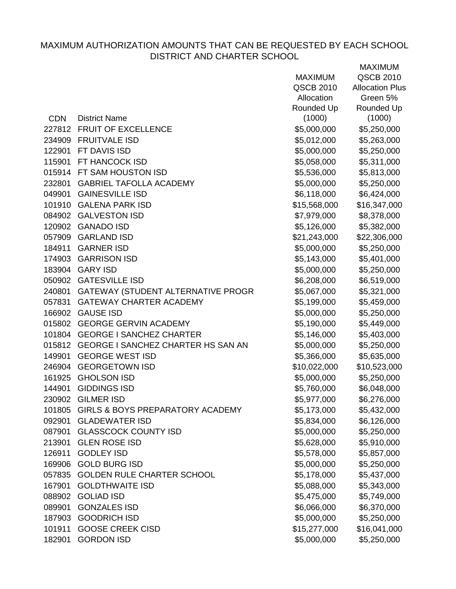|            |                                           | <b>MAXIMUM</b> | QSCB 2010              |
|------------|-------------------------------------------|----------------|------------------------|
|            |                                           | QSCB 2010      | <b>Allocation Plus</b> |
|            |                                           | Allocation     | Green 5%               |
|            |                                           | Rounded Up     | Rounded Up             |
| <b>CDN</b> | <b>District Name</b>                      | (1000)         | (1000)                 |
| 227812     | <b>FRUIT OF EXCELLENCE</b>                | \$5,000,000    | \$5,250,000            |
| 234909     | <b>FRUITVALE ISD</b>                      | \$5,012,000    | \$5,263,000            |
| 122901     | FT DAVIS ISD                              | \$5,000,000    | \$5,250,000            |
| 115901     | FT HANCOCK ISD                            | \$5,058,000    | \$5,311,000            |
|            | 015914 FT SAM HOUSTON ISD                 | \$5,536,000    | \$5,813,000            |
| 232801     | <b>GABRIEL TAFOLLA ACADEMY</b>            | \$5,000,000    | \$5,250,000            |
| 049901     | <b>GAINESVILLE ISD</b>                    | \$6,118,000    | \$6,424,000            |
| 101910     | <b>GALENA PARK ISD</b>                    | \$15,568,000   | \$16,347,000           |
|            | 084902 GALVESTON ISD                      | \$7,979,000    | \$8,378,000            |
|            | 120902 GANADO ISD                         | \$5,126,000    | \$5,382,000            |
|            | 057909 GARLAND ISD                        | \$21,243,000   | \$22,306,000           |
|            | 184911 GARNER ISD                         | \$5,000,000    | \$5,250,000            |
| 174903     | <b>GARRISON ISD</b>                       | \$5,143,000    | \$5,401,000            |
|            | 183904 GARY ISD                           | \$5,000,000    | \$5,250,000            |
| 050902     | <b>GATESVILLE ISD</b>                     | \$6,208,000    | \$6,519,000            |
| 240801     | GATEWAY (STUDENT ALTERNATIVE PROGR        | \$5,067,000    | \$5,321,000            |
| 057831     | <b>GATEWAY CHARTER ACADEMY</b>            | \$5,199,000    | \$5,459,000            |
| 166902     | <b>GAUSE ISD</b>                          | \$5,000,000    | \$5,250,000            |
|            | 015802 GEORGE GERVIN ACADEMY              | \$5,190,000    | \$5,449,000            |
| 101804     | <b>GEORGE I SANCHEZ CHARTER</b>           | \$5,146,000    | \$5,403,000            |
|            | 015812 GEORGE I SANCHEZ CHARTER HS SAN AN | \$5,000,000    | \$5,250,000            |
| 149901     | <b>GEORGE WEST ISD</b>                    | \$5,366,000    | \$5,635,000            |
|            | 246904 GEORGETOWN ISD                     | \$10,022,000   | \$10,523,000           |
|            | 161925 GHOLSON ISD                        | \$5,000,000    | \$5,250,000            |
| 144901     | <b>GIDDINGS ISD</b>                       | \$5,760,000    | \$6,048,000            |
|            | 230902 GILMER ISD                         | \$5,977,000    | \$6,276,000            |
| 101805     | GIRLS & BOYS PREPARATORY ACADEMY          | \$5,173,000    | \$5,432,000            |
| 092901     | <b>GLADEWATER ISD</b>                     | \$5,834,000    | \$6,126,000            |
| 087901     | <b>GLASSCOCK COUNTY ISD</b>               | \$5,000,000    | \$5,250,000            |
| 213901     | <b>GLEN ROSE ISD</b>                      | \$5,628,000    | \$5,910,000            |
| 126911     | <b>GODLEY ISD</b>                         | \$5,578,000    | \$5,857,000            |
| 169906     | <b>GOLD BURG ISD</b>                      | \$5,000,000    | \$5,250,000            |
| 057835     | <b>GOLDEN RULE CHARTER SCHOOL</b>         | \$5,178,000    | \$5,437,000            |
| 167901     | <b>GOLDTHWAITE ISD</b>                    | \$5,088,000    | \$5,343,000            |
| 088902     | <b>GOLIAD ISD</b>                         | \$5,475,000    | \$5,749,000            |
| 089901     | <b>GONZALES ISD</b>                       | \$6,066,000    | \$6,370,000            |
| 187903     | <b>GOODRICH ISD</b>                       | \$5,000,000    | \$5,250,000            |
| 101911     | <b>GOOSE CREEK CISD</b>                   | \$15,277,000   | \$16,041,000           |
| 182901     | <b>GORDON ISD</b>                         | \$5,000,000    | \$5,250,000            |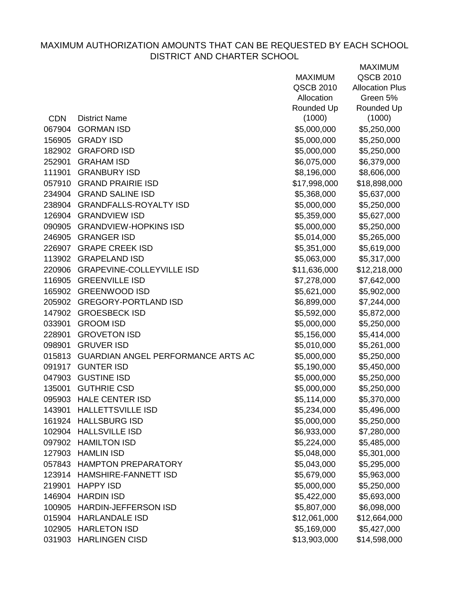|            |                                           | <b>MAXIMUM</b> | QSCB 2010              |
|------------|-------------------------------------------|----------------|------------------------|
|            |                                           | QSCB 2010      | <b>Allocation Plus</b> |
|            |                                           | Allocation     | Green 5%               |
|            |                                           | Rounded Up     | Rounded Up             |
| <b>CDN</b> | <b>District Name</b>                      | (1000)         | (1000)                 |
| 067904     | <b>GORMAN ISD</b>                         | \$5,000,000    | \$5,250,000            |
| 156905     | <b>GRADY ISD</b>                          | \$5,000,000    | \$5,250,000            |
| 182902     | <b>GRAFORD ISD</b>                        | \$5,000,000    | \$5,250,000            |
| 252901     | <b>GRAHAM ISD</b>                         | \$6,075,000    | \$6,379,000            |
| 111901     | <b>GRANBURY ISD</b>                       | \$8,196,000    | \$8,606,000            |
|            | 057910 GRAND PRAIRIE ISD                  | \$17,998,000   | \$18,898,000           |
|            | 234904 GRAND SALINE ISD                   | \$5,368,000    | \$5,637,000            |
|            | 238904 GRANDFALLS-ROYALTY ISD             | \$5,000,000    | \$5,250,000            |
|            | 126904 GRANDVIEW ISD                      | \$5,359,000    | \$5,627,000            |
|            | 090905 GRANDVIEW-HOPKINS ISD              | \$5,000,000    | \$5,250,000            |
|            | 246905 GRANGER ISD                        | \$5,014,000    | \$5,265,000            |
|            | 226907 GRAPE CREEK ISD                    | \$5,351,000    | \$5,619,000            |
|            | 113902 GRAPELAND ISD                      | \$5,063,000    | \$5,317,000            |
|            | 220906 GRAPEVINE-COLLEYVILLE ISD          | \$11,636,000   | \$12,218,000           |
|            | 116905 GREENVILLE ISD                     | \$7,278,000    | \$7,642,000            |
|            | 165902 GREENWOOD ISD                      | \$5,621,000    | \$5,902,000            |
| 205902     | <b>GREGORY-PORTLAND ISD</b>               | \$6,899,000    | \$7,244,000            |
|            | 147902 GROESBECK ISD                      | \$5,592,000    | \$5,872,000            |
| 033901     | <b>GROOM ISD</b>                          | \$5,000,000    | \$5,250,000            |
| 228901     | <b>GROVETON ISD</b>                       | \$5,156,000    | \$5,414,000            |
| 098901     | <b>GRUVER ISD</b>                         | \$5,010,000    | \$5,261,000            |
| 015813     | <b>GUARDIAN ANGEL PERFORMANCE ARTS AC</b> | \$5,000,000    | \$5,250,000            |
|            | 091917 GUNTER ISD                         | \$5,190,000    | \$5,450,000            |
| 047903     | <b>GUSTINE ISD</b>                        | \$5,000,000    | \$5,250,000            |
| 135001     | <b>GUTHRIE CSD</b>                        | \$5,000,000    | \$5,250,000            |
|            | 095903 HALE CENTER ISD                    | \$5,114,000    | \$5,370,000            |
| 143901     | <b>HALLETTSVILLE ISD</b>                  | \$5,234,000    | \$5,496,000            |
| 161924     | <b>HALLSBURG ISD</b>                      | \$5,000,000    | \$5,250,000            |
| 102904     | <b>HALLSVILLE ISD</b>                     | \$6,933,000    | \$7,280,000            |
| 097902     | <b>HAMILTON ISD</b>                       | \$5,224,000    | \$5,485,000            |
| 127903     | <b>HAMLIN ISD</b>                         | \$5,048,000    | \$5,301,000            |
|            | 057843 HAMPTON PREPARATORY                | \$5,043,000    | \$5,295,000            |
| 123914     | HAMSHIRE-FANNETT ISD                      | \$5,679,000    | \$5,963,000            |
| 219901     | <b>HAPPY ISD</b>                          | \$5,000,000    | \$5,250,000            |
| 146904     | <b>HARDIN ISD</b>                         | \$5,422,000    | \$5,693,000            |
| 100905     | <b>HARDIN-JEFFERSON ISD</b>               | \$5,807,000    | \$6,098,000            |
|            | 015904 HARLANDALE ISD                     | \$12,061,000   | \$12,664,000           |
| 102905     | <b>HARLETON ISD</b>                       | \$5,169,000    | \$5,427,000            |
|            | 031903 HARLINGEN CISD                     | \$13,903,000   | \$14,598,000           |
|            |                                           |                |                        |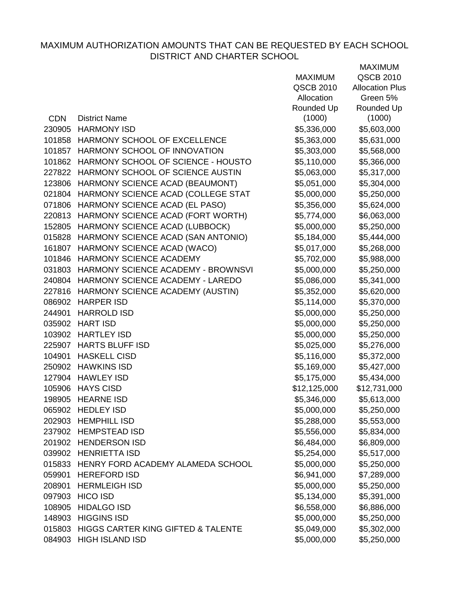|            |                                          |                | <b>MAXIMUM</b>         |
|------------|------------------------------------------|----------------|------------------------|
|            |                                          | <b>MAXIMUM</b> | <b>QSCB 2010</b>       |
|            |                                          | QSCB 2010      | <b>Allocation Plus</b> |
|            |                                          | Allocation     | Green 5%               |
|            |                                          | Rounded Up     | Rounded Up             |
| <b>CDN</b> | <b>District Name</b>                     | (1000)         | (1000)                 |
| 230905     | <b>HARMONY ISD</b>                       | \$5,336,000    | \$5,603,000            |
|            | 101858 HARMONY SCHOOL OF EXCELLENCE      | \$5,363,000    | \$5,631,000            |
|            | 101857 HARMONY SCHOOL OF INNOVATION      | \$5,303,000    | \$5,568,000            |
| 101862     | HARMONY SCHOOL OF SCIENCE - HOUSTO       | \$5,110,000    | \$5,366,000            |
| 227822     | HARMONY SCHOOL OF SCIENCE AUSTIN         | \$5,063,000    | \$5,317,000            |
| 123806     | HARMONY SCIENCE ACAD (BEAUMONT)          | \$5,051,000    | \$5,304,000            |
| 021804     | HARMONY SCIENCE ACAD (COLLEGE STAT       | \$5,000,000    | \$5,250,000            |
| 071806     | HARMONY SCIENCE ACAD (EL PASO)           | \$5,356,000    | \$5,624,000            |
| 220813     | HARMONY SCIENCE ACAD (FORT WORTH)        | \$5,774,000    | \$6,063,000            |
| 152805     | HARMONY SCIENCE ACAD (LUBBOCK)           | \$5,000,000    | \$5,250,000            |
| 015828     | HARMONY SCIENCE ACAD (SAN ANTONIO)       | \$5,184,000    | \$5,444,000            |
| 161807     | HARMONY SCIENCE ACAD (WACO)              | \$5,017,000    | \$5,268,000            |
| 101846     | <b>HARMONY SCIENCE ACADEMY</b>           | \$5,702,000    | \$5,988,000            |
| 031803     | HARMONY SCIENCE ACADEMY - BROWNSVI       | \$5,000,000    | \$5,250,000            |
|            | 240804 HARMONY SCIENCE ACADEMY - LAREDO  | \$5,086,000    | \$5,341,000            |
| 227816     | HARMONY SCIENCE ACADEMY (AUSTIN)         | \$5,352,000    | \$5,620,000            |
| 086902     | <b>HARPER ISD</b>                        | \$5,114,000    | \$5,370,000            |
| 244901     | <b>HARROLD ISD</b>                       | \$5,000,000    | \$5,250,000            |
| 035902     | <b>HART ISD</b>                          | \$5,000,000    | \$5,250,000            |
|            | 103902 HARTLEY ISD                       | \$5,000,000    | \$5,250,000            |
|            | 225907 HARTS BLUFF ISD                   | \$5,025,000    | \$5,276,000            |
| 104901     | <b>HASKELL CISD</b>                      | \$5,116,000    | \$5,372,000            |
| 250902     | <b>HAWKINS ISD</b>                       | \$5,169,000    | \$5,427,000            |
| 127904     | <b>HAWLEY ISD</b>                        | \$5,175,000    | \$5,434,000            |
|            | 105906 HAYS CISD                         | \$12,125,000   | \$12,731,000           |
| 198905     | <b>HEARNE ISD</b>                        | \$5,346,000    | \$5,613,000            |
|            | 065902 HEDLEY ISD                        | \$5,000,000    | \$5,250,000            |
|            | 202903 HEMPHILL ISD                      | \$5,288,000    | \$5,553,000            |
|            | 237902 HEMPSTEAD ISD                     | \$5,556,000    | \$5,834,000            |
|            | 201902 HENDERSON ISD                     | \$6,484,000    | \$6,809,000            |
|            | 039902 HENRIETTA ISD                     | \$5,254,000    | \$5,517,000            |
|            | 015833 HENRY FORD ACADEMY ALAMEDA SCHOOL | \$5,000,000    | \$5,250,000            |
| 059901     | <b>HEREFORD ISD</b>                      | \$6,941,000    | \$7,289,000            |
| 208901     | <b>HERMLEIGH ISD</b>                     | \$5,000,000    | \$5,250,000            |
| 097903     | <b>HICO ISD</b>                          | \$5,134,000    | \$5,391,000            |
| 108905     | <b>HIDALGO ISD</b>                       | \$6,558,000    | \$6,886,000            |
| 148903     | <b>HIGGINS ISD</b>                       | \$5,000,000    | \$5,250,000            |
| 015803     | HIGGS CARTER KING GIFTED & TALENTE       | \$5,049,000    | \$5,302,000            |
| 084903     | <b>HIGH ISLAND ISD</b>                   | \$5,000,000    | \$5,250,000            |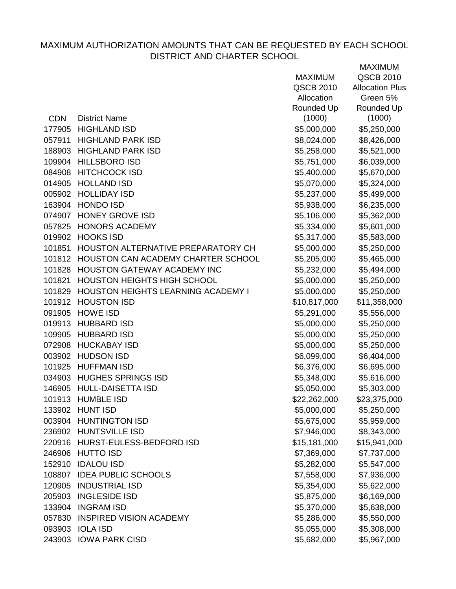|            |                                    | <b>MAXIMUM</b> | QSCB 2010              |
|------------|------------------------------------|----------------|------------------------|
|            |                                    | QSCB 2010      | <b>Allocation Plus</b> |
|            |                                    | Allocation     | Green 5%               |
|            |                                    | Rounded Up     | Rounded Up             |
| <b>CDN</b> | <b>District Name</b>               | (1000)         | (1000)                 |
| 177905     | <b>HIGHLAND ISD</b>                | \$5,000,000    | \$5,250,000            |
| 057911     | <b>HIGHLAND PARK ISD</b>           | \$8,024,000    | \$8,426,000            |
| 188903     | <b>HIGHLAND PARK ISD</b>           | \$5,258,000    | \$5,521,000            |
| 109904     | <b>HILLSBORO ISD</b>               | \$5,751,000    | \$6,039,000            |
|            | 084908 HITCHCOCK ISD               | \$5,400,000    | \$5,670,000            |
| 014905     | <b>HOLLAND ISD</b>                 | \$5,070,000    | \$5,324,000            |
|            | 005902 HOLLIDAY ISD                | \$5,237,000    | \$5,499,000            |
| 163904     | <b>HONDO ISD</b>                   | \$5,938,000    | \$6,235,000            |
|            | 074907 HONEY GROVE ISD             | \$5,106,000    | \$5,362,000            |
| 057825     | <b>HONORS ACADEMY</b>              | \$5,334,000    | \$5,601,000            |
|            | 019902 HOOKS ISD                   | \$5,317,000    | \$5,583,000            |
| 101851     | HOUSTON ALTERNATIVE PREPARATORY CH | \$5,000,000    | \$5,250,000            |
| 101812     | HOUSTON CAN ACADEMY CHARTER SCHOOL | \$5,205,000    | \$5,465,000            |
|            | 101828 HOUSTON GATEWAY ACADEMY INC | \$5,232,000    | \$5,494,000            |
| 101821     | <b>HOUSTON HEIGHTS HIGH SCHOOL</b> | \$5,000,000    | \$5,250,000            |
| 101829     | HOUSTON HEIGHTS LEARNING ACADEMY I | \$5,000,000    | \$5,250,000            |
|            | 101912 HOUSTON ISD                 | \$10,817,000   | \$11,358,000           |
|            | 091905 HOWE ISD                    | \$5,291,000    | \$5,556,000            |
|            | 019913 HUBBARD ISD                 | \$5,000,000    | \$5,250,000            |
| 109905     | <b>HUBBARD ISD</b>                 | \$5,000,000    | \$5,250,000            |
|            | 072908 HUCKABAY ISD                | \$5,000,000    | \$5,250,000            |
|            | 003902 HUDSON ISD                  | \$6,099,000    | \$6,404,000            |
|            | 101925 HUFFMAN ISD                 | \$6,376,000    | \$6,695,000            |
|            | 034903 HUGHES SPRINGS ISD          | \$5,348,000    | \$5,616,000            |
|            | 146905 HULL-DAISETTA ISD           | \$5,050,000    | \$5,303,000            |
|            | 101913 HUMBLE ISD                  | \$22,262,000   | \$23,375,000           |
|            | 133902 HUNT ISD                    | \$5,000,000    | \$5,250,000            |
| 003904     | <b>HUNTINGTON ISD</b>              | \$5,675,000    | \$5,959,000            |
|            | 236902 HUNTSVILLE ISD              | \$7,946,000    | \$8,343,000            |
|            | 220916 HURST-EULESS-BEDFORD ISD    | \$15,181,000   | \$15,941,000           |
|            | 246906 HUTTO ISD                   | \$7,369,000    | \$7,737,000            |
| 152910     | <b>IDALOU ISD</b>                  | \$5,282,000    | \$5,547,000            |
| 108807     | <b>IDEA PUBLIC SCHOOLS</b>         | \$7,558,000    | \$7,936,000            |
| 120905     | <b>INDUSTRIAL ISD</b>              | \$5,354,000    | \$5,622,000            |
| 205903     | <b>INGLESIDE ISD</b>               | \$5,875,000    | \$6,169,000            |
| 133904     | <b>INGRAM ISD</b>                  | \$5,370,000    | \$5,638,000            |
| 057830     | <b>INSPIRED VISION ACADEMY</b>     | \$5,286,000    | \$5,550,000            |
|            | 093903 IOLA ISD                    | \$5,055,000    | \$5,308,000            |
|            | 243903 IOWA PARK CISD              | \$5,682,000    | \$5,967,000            |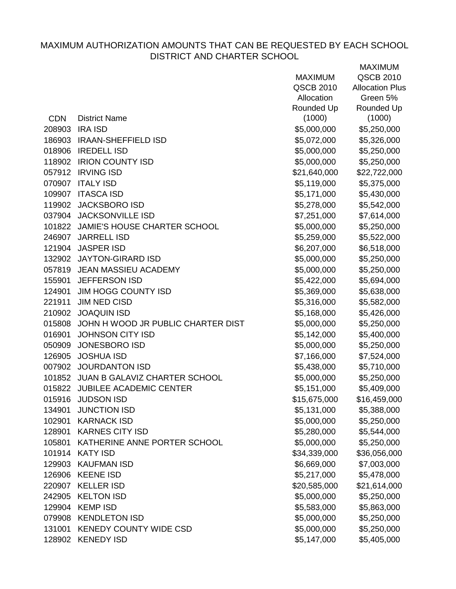|            |                                           | <b>MAXIMUM</b> | <b>QSCB 2010</b>       |
|------------|-------------------------------------------|----------------|------------------------|
|            |                                           | QSCB 2010      | <b>Allocation Plus</b> |
|            |                                           | Allocation     | Green 5%               |
|            |                                           | Rounded Up     | Rounded Up             |
| <b>CDN</b> | <b>District Name</b>                      | (1000)         | (1000)                 |
|            | 208903 IRA ISD                            | \$5,000,000    | \$5,250,000            |
|            | 186903 IRAAN-SHEFFIELD ISD                | \$5,072,000    | \$5,326,000            |
|            | 018906 IREDELL ISD                        | \$5,000,000    | \$5,250,000            |
|            | 118902 IRION COUNTY ISD                   | \$5,000,000    | \$5,250,000            |
|            | 057912 IRVING ISD                         | \$21,640,000   | \$22,722,000           |
|            | 070907 ITALY ISD                          | \$5,119,000    | \$5,375,000            |
|            | 109907 ITASCA ISD                         | \$5,171,000    | \$5,430,000            |
|            | 119902 JACKSBORO ISD                      | \$5,278,000    | \$5,542,000            |
|            | 037904 JACKSONVILLE ISD                   | \$7,251,000    | \$7,614,000            |
|            | 101822 JAMIE'S HOUSE CHARTER SCHOOL       | \$5,000,000    | \$5,250,000            |
|            | 246907 JARRELL ISD                        | \$5,259,000    | \$5,522,000            |
|            | 121904 JASPER ISD                         | \$6,207,000    | \$6,518,000            |
|            | 132902 JAYTON-GIRARD ISD                  | \$5,000,000    | \$5,250,000            |
|            | 057819 JEAN MASSIEU ACADEMY               | \$5,000,000    | \$5,250,000            |
| 155901     | <b>JEFFERSON ISD</b>                      | \$5,422,000    | \$5,694,000            |
| 124901     | JIM HOGG COUNTY ISD                       | \$5,369,000    | \$5,638,000            |
| 221911     | <b>JIM NED CISD</b>                       | \$5,316,000    | \$5,582,000            |
|            | 210902 JOAQUIN ISD                        | \$5,168,000    | \$5,426,000            |
|            | 015808 JOHN H WOOD JR PUBLIC CHARTER DIST | \$5,000,000    | \$5,250,000            |
| 016901     | <b>JOHNSON CITY ISD</b>                   | \$5,142,000    | \$5,400,000            |
|            | 050909 JONESBORO ISD                      | \$5,000,000    | \$5,250,000            |
| 126905     | <b>JOSHUA ISD</b>                         | \$7,166,000    | \$7,524,000            |
|            | 007902 JOURDANTON ISD                     | \$5,438,000    | \$5,710,000            |
|            | 101852 JUAN B GALAVIZ CHARTER SCHOOL      | \$5,000,000    | \$5,250,000            |
|            | 015822 JUBILEE ACADEMIC CENTER            | \$5,151,000    | \$5,409,000            |
| 015916     | <b>JUDSON ISD</b>                         | \$15,675,000   | \$16,459,000           |
| 134901     | <b>JUNCTION ISD</b>                       | \$5,131,000    | \$5,388,000            |
| 102901     | <b>KARNACK ISD</b>                        | \$5,000,000    | \$5,250,000            |
| 128901     | <b>KARNES CITY ISD</b>                    | \$5,280,000    | \$5,544,000            |
| 105801     | KATHERINE ANNE PORTER SCHOOL              | \$5,000,000    | \$5,250,000            |
| 101914     | KATY ISD                                  | \$34,339,000   | \$36,056,000           |
| 129903     | <b>KAUFMAN ISD</b>                        | \$6,669,000    | \$7,003,000            |
| 126906     | <b>KEENE ISD</b>                          | \$5,217,000    | \$5,478,000            |
| 220907     | <b>KELLER ISD</b>                         | \$20,585,000   | \$21,614,000           |
| 242905     | <b>KELTON ISD</b>                         | \$5,000,000    | \$5,250,000            |
| 129904     | <b>KEMP ISD</b>                           | \$5,583,000    | \$5,863,000            |
| 079908     | <b>KENDLETON ISD</b>                      | \$5,000,000    | \$5,250,000            |
| 131001     | <b>KENEDY COUNTY WIDE CSD</b>             | \$5,000,000    | \$5,250,000            |
| 128902     | <b>KENEDY ISD</b>                         | \$5,147,000    | \$5,405,000            |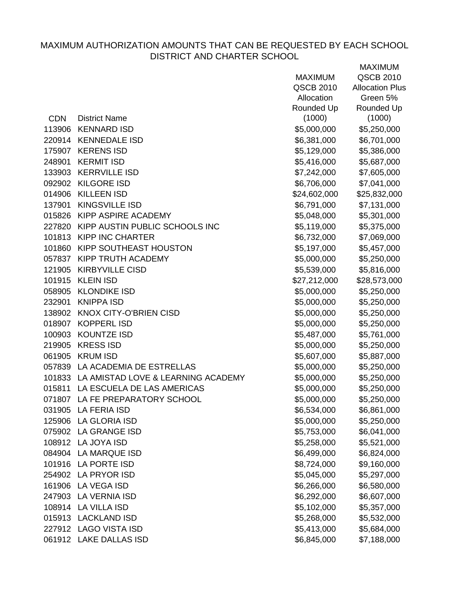|            |                                           | <b>MAXIMUM</b>   | QSCB 2010              |
|------------|-------------------------------------------|------------------|------------------------|
|            |                                           | <b>QSCB 2010</b> | <b>Allocation Plus</b> |
|            |                                           | Allocation       | Green 5%               |
|            |                                           | Rounded Up       | Rounded Up             |
| <b>CDN</b> | <b>District Name</b>                      | (1000)           | (1000)                 |
| 113906     | <b>KENNARD ISD</b>                        | \$5,000,000      | \$5,250,000            |
|            | 220914 KENNEDALE ISD                      | \$6,381,000      | \$6,701,000            |
|            | 175907 KERENS ISD                         | \$5,129,000      | \$5,386,000            |
| 248901     | <b>KERMIT ISD</b>                         | \$5,416,000      | \$5,687,000            |
|            | 133903 KERRVILLE ISD                      | \$7,242,000      | \$7,605,000            |
|            | 092902 KILGORE ISD                        | \$6,706,000      | \$7,041,000            |
|            | 014906 KILLEEN ISD                        | \$24,602,000     | \$25,832,000           |
| 137901     | KINGSVILLE ISD                            | \$6,791,000      | \$7,131,000            |
|            | 015826 KIPP ASPIRE ACADEMY                | \$5,048,000      | \$5,301,000            |
|            | 227820 KIPP AUSTIN PUBLIC SCHOOLS INC     | \$5,119,000      | \$5,375,000            |
|            | 101813 KIPP INC CHARTER                   | \$6,732,000      | \$7,069,000            |
| 101860     | KIPP SOUTHEAST HOUSTON                    | \$5,197,000      | \$5,457,000            |
|            | 057837 KIPP TRUTH ACADEMY                 | \$5,000,000      | \$5,250,000            |
|            | 121905 KIRBYVILLE CISD                    | \$5,539,000      | \$5,816,000            |
| 101915     | <b>KLEIN ISD</b>                          | \$27,212,000     | \$28,573,000           |
|            | 058905 KLONDIKE ISD                       | \$5,000,000      | \$5,250,000            |
| 232901     | <b>KNIPPA ISD</b>                         | \$5,000,000      | \$5,250,000            |
|            | 138902 KNOX CITY-O'BRIEN CISD             | \$5,000,000      | \$5,250,000            |
|            | 018907 KOPPERL ISD                        | \$5,000,000      | \$5,250,000            |
| 100903     | <b>KOUNTZE ISD</b>                        | \$5,487,000      | \$5,761,000            |
|            | 219905 KRESS ISD                          | \$5,000,000      | \$5,250,000            |
| 061905     | <b>KRUM ISD</b>                           | \$5,607,000      | \$5,887,000            |
|            | 057839 LA ACADEMIA DE ESTRELLAS           | \$5,000,000      | \$5,250,000            |
|            | 101833 LA AMISTAD LOVE & LEARNING ACADEMY | \$5,000,000      | \$5,250,000            |
| 015811     | LA ESCUELA DE LAS AMERICAS                | \$5,000,000      | \$5,250,000            |
|            | 071807 LA FE PREPARATORY SCHOOL           | \$5,000,000      | \$5,250,000            |
| 031905     | <b>LA FERIA ISD</b>                       | \$6,534,000      | \$6,861,000            |
| 125906     | <b>LA GLORIA ISD</b>                      | \$5,000,000      | \$5,250,000            |
| 075902     | LA GRANGE ISD                             | \$5,753,000      | \$6,041,000            |
| 108912     | LA JOYA ISD                               | \$5,258,000      | \$5,521,000            |
| 084904     | LA MARQUE ISD                             | \$6,499,000      | \$6,824,000            |
| 101916     | <b>LA PORTE ISD</b>                       | \$8,724,000      | \$9,160,000            |
| 254902     | LA PRYOR ISD                              | \$5,045,000      | \$5,297,000            |
| 161906     | <b>LA VEGA ISD</b>                        | \$6,266,000      | \$6,580,000            |
| 247903     | <b>LA VERNIA ISD</b>                      | \$6,292,000      | \$6,607,000            |
| 108914     | LA VILLA ISD                              | \$5,102,000      | \$5,357,000            |
| 015913     | <b>LACKLAND ISD</b>                       | \$5,268,000      | \$5,532,000            |
|            | 227912 LAGO VISTA ISD                     | \$5,413,000      | \$5,684,000            |
|            | 061912 LAKE DALLAS ISD                    | \$6,845,000      | \$7,188,000            |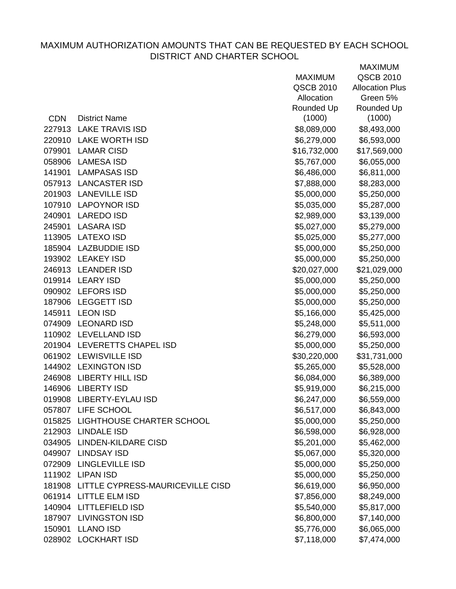|            |                                         | <b>MAXIMUM</b> | <b>QSCB 2010</b>       |
|------------|-----------------------------------------|----------------|------------------------|
|            |                                         | QSCB 2010      | <b>Allocation Plus</b> |
|            |                                         | Allocation     | Green 5%               |
|            |                                         | Rounded Up     | Rounded Up             |
| <b>CDN</b> | <b>District Name</b>                    | (1000)         | (1000)                 |
|            | 227913 LAKE TRAVIS ISD                  | \$8,089,000    | \$8,493,000            |
|            | 220910 LAKE WORTH ISD                   | \$6,279,000    | \$6,593,000            |
| 079901     | <b>LAMAR CISD</b>                       | \$16,732,000   | \$17,569,000           |
| 058906     | <b>LAMESA ISD</b>                       | \$5,767,000    | \$6,055,000            |
| 141901     | LAMPASAS ISD                            | \$6,486,000    | \$6,811,000            |
|            | 057913 LANCASTER ISD                    | \$7,888,000    | \$8,283,000            |
|            | 201903 LANEVILLE ISD                    | \$5,000,000    | \$5,250,000            |
|            | 107910 LAPOYNOR ISD                     | \$5,035,000    | \$5,287,000            |
| 240901     | <b>LAREDO ISD</b>                       | \$2,989,000    | \$3,139,000            |
| 245901     | LASARA ISD                              | \$5,027,000    | \$5,279,000            |
|            | 113905 LATEXO ISD                       | \$5,025,000    | \$5,277,000            |
|            | 185904 LAZBUDDIE ISD                    | \$5,000,000    | \$5,250,000            |
|            | 193902 LEAKEY ISD                       | \$5,000,000    | \$5,250,000            |
|            | 246913 LEANDER ISD                      | \$20,027,000   | \$21,029,000           |
|            | 019914 LEARY ISD                        | \$5,000,000    | \$5,250,000            |
|            | 090902 LEFORS ISD                       | \$5,000,000    | \$5,250,000            |
|            | 187906 LEGGETT ISD                      | \$5,000,000    | \$5,250,000            |
| 145911     | <b>LEON ISD</b>                         | \$5,166,000    | \$5,425,000            |
|            | 074909 LEONARD ISD                      | \$5,248,000    | \$5,511,000            |
|            | 110902 LEVELLAND ISD                    | \$6,279,000    | \$6,593,000            |
|            | 201904 LEVERETTS CHAPEL ISD             | \$5,000,000    | \$5,250,000            |
|            | 061902 LEWISVILLE ISD                   | \$30,220,000   | \$31,731,000           |
|            | 144902 LEXINGTON ISD                    | \$5,265,000    | \$5,528,000            |
|            | 246908 LIBERTY HILL ISD                 | \$6,084,000    | \$6,389,000            |
|            | 146906 LIBERTY ISD                      | \$5,919,000    | \$6,215,000            |
|            | 019908 LIBERTY-EYLAU ISD                | \$6,247,000    | \$6,559,000            |
|            | 057807 LIFE SCHOOL                      | \$6,517,000    | \$6,843,000            |
|            | 015825 LIGHTHOUSE CHARTER SCHOOL        | \$5,000,000    | \$5,250,000            |
|            | 212903 LINDALE ISD                      | \$6,598,000    | \$6,928,000            |
|            | 034905 LINDEN-KILDARE CISD              | \$5,201,000    | \$5,462,000            |
|            | 049907 LINDSAY ISD                      | \$5,067,000    | \$5,320,000            |
|            | 072909 LINGLEVILLE ISD                  | \$5,000,000    | \$5,250,000            |
|            | 111902 LIPAN ISD                        | \$5,000,000    | \$5,250,000            |
|            | 181908 LITTLE CYPRESS-MAURICEVILLE CISD | \$6,619,000    | \$6,950,000            |
|            | 061914 LITTLE ELM ISD                   | \$7,856,000    | \$8,249,000            |
|            | 140904 LITTLEFIELD ISD                  | \$5,540,000    | \$5,817,000            |
|            | 187907 LIVINGSTON ISD                   | \$6,800,000    | \$7,140,000            |
|            | 150901 LLANO ISD                        | \$5,776,000    | \$6,065,000            |
|            | 028902 LOCKHART ISD                     | \$7,118,000    | \$7,474,000            |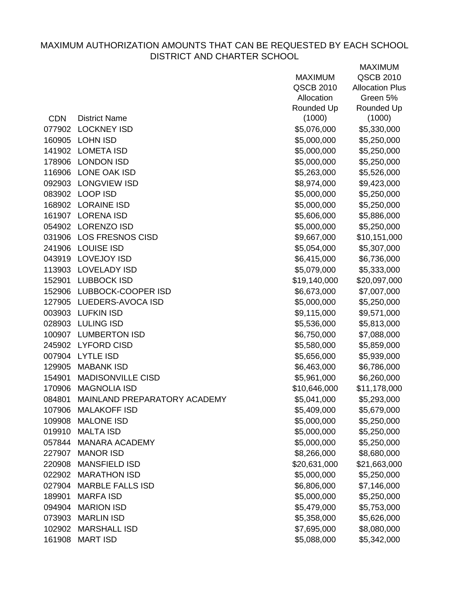|            |                              | <b>MAXIMUM</b> | QSCB 2010              |
|------------|------------------------------|----------------|------------------------|
|            |                              | QSCB 2010      | <b>Allocation Plus</b> |
|            |                              | Allocation     | Green 5%               |
|            |                              | Rounded Up     | Rounded Up             |
| <b>CDN</b> | <b>District Name</b>         | (1000)         | (1000)                 |
| 077902     | <b>LOCKNEY ISD</b>           | \$5,076,000    | \$5,330,000            |
| 160905     | <b>LOHN ISD</b>              | \$5,000,000    | \$5,250,000            |
| 141902     | <b>LOMETA ISD</b>            | \$5,000,000    | \$5,250,000            |
| 178906     | <b>LONDON ISD</b>            | \$5,000,000    | \$5,250,000            |
| 116906     | LONE OAK ISD                 | \$5,263,000    | \$5,526,000            |
| 092903     | <b>LONGVIEW ISD</b>          | \$8,974,000    | \$9,423,000            |
|            | 083902 LOOP ISD              | \$5,000,000    | \$5,250,000            |
|            | 168902 LORAINE ISD           | \$5,000,000    | \$5,250,000            |
|            | 161907 LORENA ISD            | \$5,606,000    | \$5,886,000            |
|            | 054902 LORENZO ISD           | \$5,000,000    | \$5,250,000            |
|            | 031906 LOS FRESNOS CISD      | \$9,667,000    | \$10,151,000           |
| 241906     | <b>LOUISE ISD</b>            | \$5,054,000    | \$5,307,000            |
| 043919     | <b>LOVEJOY ISD</b>           | \$6,415,000    | \$6,736,000            |
|            | 113903 LOVELADY ISD          | \$5,079,000    | \$5,333,000            |
| 152901     | <b>LUBBOCK ISD</b>           | \$19,140,000   | \$20,097,000           |
|            | 152906 LUBBOCK-COOPER ISD    | \$6,673,000    | \$7,007,000            |
| 127905     | LUEDERS-AVOCA ISD            | \$5,000,000    | \$5,250,000            |
|            | 003903 LUFKIN ISD            | \$9,115,000    | \$9,571,000            |
| 028903     | <b>LULING ISD</b>            | \$5,536,000    | \$5,813,000            |
| 100907     | <b>LUMBERTON ISD</b>         | \$6,750,000    | \$7,088,000            |
|            | 245902 LYFORD CISD           | \$5,580,000    | \$5,859,000            |
| 007904     | <b>LYTLE ISD</b>             | \$5,656,000    | \$5,939,000            |
| 129905     | <b>MABANK ISD</b>            | \$6,463,000    | \$6,786,000            |
| 154901     | <b>MADISONVILLE CISD</b>     | \$5,961,000    | \$6,260,000            |
| 170906     | <b>MAGNOLIA ISD</b>          | \$10,646,000   | \$11,178,000           |
| 084801     | MAINLAND PREPARATORY ACADEMY | \$5,041,000    | \$5,293,000            |
| 107906     | <b>MALAKOFF ISD</b>          | \$5,409,000    | \$5,679,000            |
| 109908     | <b>MALONE ISD</b>            | \$5,000,000    | \$5,250,000            |
| 019910     | <b>MALTA ISD</b>             | \$5,000,000    | \$5,250,000            |
| 057844     | <b>MANARA ACADEMY</b>        | \$5,000,000    | \$5,250,000            |
| 227907     | <b>MANOR ISD</b>             | \$8,266,000    | \$8,680,000            |
| 220908     | <b>MANSFIELD ISD</b>         | \$20,631,000   | \$21,663,000           |
| 022902     | <b>MARATHON ISD</b>          | \$5,000,000    | \$5,250,000            |
| 027904     | <b>MARBLE FALLS ISD</b>      | \$6,806,000    | \$7,146,000            |
| 189901     | <b>MARFA ISD</b>             | \$5,000,000    | \$5,250,000            |
| 094904     | <b>MARION ISD</b>            | \$5,479,000    | \$5,753,000            |
| 073903     | <b>MARLIN ISD</b>            | \$5,358,000    | \$5,626,000            |
| 102902     | <b>MARSHALL ISD</b>          | \$7,695,000    | \$8,080,000            |
|            | 161908 MART ISD              | \$5,088,000    | \$5,342,000            |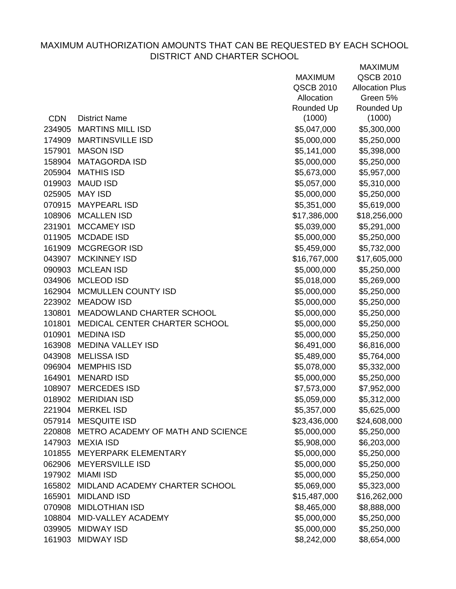|            |                                          | <b>MAXIMUM</b>   | QSCB 2010              |
|------------|------------------------------------------|------------------|------------------------|
|            |                                          | <b>QSCB 2010</b> | <b>Allocation Plus</b> |
|            |                                          | Allocation       | Green 5%               |
|            |                                          | Rounded Up       | Rounded Up             |
| <b>CDN</b> | <b>District Name</b>                     | (1000)           | (1000)                 |
| 234905     | <b>MARTINS MILL ISD</b>                  | \$5,047,000      | \$5,300,000            |
|            | 174909 MARTINSVILLE ISD                  | \$5,000,000      | \$5,250,000            |
| 157901     | <b>MASON ISD</b>                         | \$5,141,000      | \$5,398,000            |
|            | 158904 MATAGORDA ISD                     | \$5,000,000      | \$5,250,000            |
|            | 205904 MATHIS ISD                        | \$5,673,000      | \$5,957,000            |
|            | 019903 MAUD ISD                          | \$5,057,000      | \$5,310,000            |
|            | 025905 MAY ISD                           | \$5,000,000      | \$5,250,000            |
|            | 070915 MAYPEARL ISD                      | \$5,351,000      | \$5,619,000            |
|            | 108906 MCALLEN ISD                       | \$17,386,000     | \$18,256,000           |
| 231901     | <b>MCCAMEY ISD</b>                       | \$5,039,000      | \$5,291,000            |
|            | 011905 MCDADE ISD                        | \$5,000,000      | \$5,250,000            |
|            | 161909 MCGREGOR ISD                      | \$5,459,000      | \$5,732,000            |
| 043907     | <b>MCKINNEY ISD</b>                      | \$16,767,000     | \$17,605,000           |
|            | 090903 MCLEAN ISD                        | \$5,000,000      | \$5,250,000            |
| 034906     | <b>MCLEOD ISD</b>                        | \$5,018,000      | \$5,269,000            |
| 162904     | MCMULLEN COUNTY ISD                      | \$5,000,000      | \$5,250,000            |
|            | 223902 MEADOW ISD                        | \$5,000,000      | \$5,250,000            |
| 130801     | MEADOWLAND CHARTER SCHOOL                | \$5,000,000      | \$5,250,000            |
| 101801     | MEDICAL CENTER CHARTER SCHOOL            | \$5,000,000      | \$5,250,000            |
| 010901     | <b>MEDINA ISD</b>                        | \$5,000,000      | \$5,250,000            |
| 163908     | <b>MEDINA VALLEY ISD</b>                 | \$6,491,000      | \$6,816,000            |
| 043908     | <b>MELISSA ISD</b>                       | \$5,489,000      | \$5,764,000            |
|            | 096904 MEMPHIS ISD                       | \$5,078,000      | \$5,332,000            |
| 164901     | <b>MENARD ISD</b>                        | \$5,000,000      | \$5,250,000            |
| 108907     | <b>MERCEDES ISD</b>                      | \$7,573,000      | \$7,952,000            |
|            | 018902 MERIDIAN ISD                      | \$5,059,000      | \$5,312,000            |
| 221904     | <b>MERKEL ISD</b>                        | \$5,357,000      | \$5,625,000            |
| 057914     | <b>MESQUITE ISD</b>                      | \$23,436,000     | \$24,608,000           |
|            | 220808 METRO ACADEMY OF MATH AND SCIENCE | \$5,000,000      | \$5,250,000            |
|            | 147903 MEXIA ISD                         | \$5,908,000      | \$6,203,000            |
|            | 101855 MEYERPARK ELEMENTARY              | \$5,000,000      | \$5,250,000            |
|            | 062906 MEYERSVILLE ISD                   | \$5,000,000      | \$5,250,000            |
|            | 197902 MIAMI ISD                         | \$5,000,000      | \$5,250,000            |
| 165802     | MIDLAND ACADEMY CHARTER SCHOOL           | \$5,069,000      | \$5,323,000            |
| 165901     | <b>MIDLAND ISD</b>                       | \$15,487,000     | \$16,262,000           |
| 070908     | <b>MIDLOTHIAN ISD</b>                    | \$8,465,000      | \$8,888,000            |
|            | 108804 MID-VALLEY ACADEMY                | \$5,000,000      | \$5,250,000            |
|            | 039905 MIDWAY ISD                        | \$5,000,000      | \$5,250,000            |
|            | 161903 MIDWAY ISD                        | \$8,242,000      | \$8,654,000            |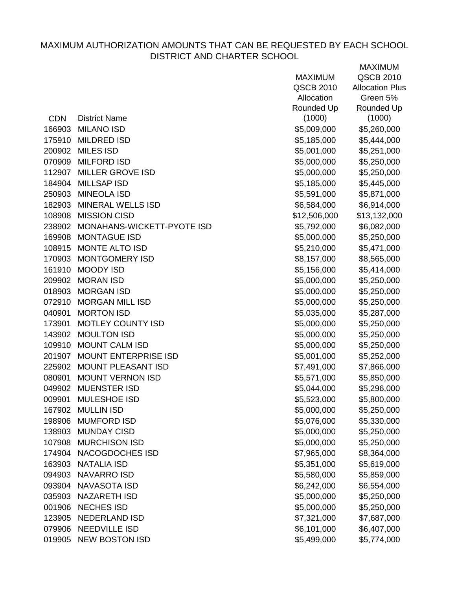|            |                            | <b>MAXIMUM</b> | <b>QSCB 2010</b>       |
|------------|----------------------------|----------------|------------------------|
|            |                            | QSCB 2010      | <b>Allocation Plus</b> |
|            |                            | Allocation     | Green 5%               |
|            |                            | Rounded Up     | Rounded Up             |
| <b>CDN</b> | <b>District Name</b>       | (1000)         | (1000)                 |
| 166903     | <b>MILANO ISD</b>          | \$5,009,000    | \$5,260,000            |
| 175910     | <b>MILDRED ISD</b>         | \$5,185,000    | \$5,444,000            |
| 200902     | <b>MILES ISD</b>           | \$5,001,000    | \$5,251,000            |
| 070909     | <b>MILFORD ISD</b>         | \$5,000,000    | \$5,250,000            |
| 112907     | <b>MILLER GROVE ISD</b>    | \$5,000,000    | \$5,250,000            |
| 184904     | <b>MILLSAP ISD</b>         | \$5,185,000    | \$5,445,000            |
|            | 250903 MINEOLA ISD         | \$5,591,000    | \$5,871,000            |
| 182903     | <b>MINERAL WELLS ISD</b>   | \$6,584,000    | \$6,914,000            |
|            | 108908 MISSION CISD        | \$12,506,000   | \$13,132,000           |
| 238902     | MONAHANS-WICKETT-PYOTE ISD | \$5,792,000    | \$6,082,000            |
|            | 169908 MONTAGUE ISD        | \$5,000,000    | \$5,250,000            |
| 108915     | <b>MONTE ALTO ISD</b>      | \$5,210,000    | \$5,471,000            |
| 170903     | <b>MONTGOMERY ISD</b>      | \$8,157,000    | \$8,565,000            |
| 161910     | <b>MOODY ISD</b>           | \$5,156,000    | \$5,414,000            |
| 209902     | <b>MORAN ISD</b>           | \$5,000,000    | \$5,250,000            |
| 018903     | <b>MORGAN ISD</b>          | \$5,000,000    | \$5,250,000            |
| 072910     | <b>MORGAN MILL ISD</b>     | \$5,000,000    | \$5,250,000            |
| 040901     | <b>MORTON ISD</b>          | \$5,035,000    | \$5,287,000            |
| 173901     | <b>MOTLEY COUNTY ISD</b>   | \$5,000,000    | \$5,250,000            |
| 143902     | <b>MOULTON ISD</b>         | \$5,000,000    | \$5,250,000            |
| 109910     | <b>MOUNT CALM ISD</b>      | \$5,000,000    | \$5,250,000            |
| 201907     | MOUNT ENTERPRISE ISD       | \$5,001,000    | \$5,252,000            |
| 225902     | MOUNT PLEASANT ISD         | \$7,491,000    | \$7,866,000            |
| 080901     | <b>MOUNT VERNON ISD</b>    | \$5,571,000    | \$5,850,000            |
| 049902     | <b>MUENSTER ISD</b>        | \$5,044,000    | \$5,296,000            |
| 009901     | <b>MULESHOE ISD</b>        | \$5,523,000    | \$5,800,000            |
| 167902     | <b>MULLIN ISD</b>          | \$5,000,000    | \$5,250,000            |
| 198906     | <b>MUMFORD ISD</b>         | \$5,076,000    | \$5,330,000            |
| 138903     | <b>MUNDAY CISD</b>         | \$5,000,000    | \$5,250,000            |
| 107908     | <b>MURCHISON ISD</b>       | \$5,000,000    | \$5,250,000            |
| 174904     | NACOGDOCHES ISD            | \$7,965,000    | \$8,364,000            |
| 163903     | <b>NATALIA ISD</b>         | \$5,351,000    | \$5,619,000            |
| 094903     | <b>NAVARRO ISD</b>         | \$5,580,000    | \$5,859,000            |
| 093904     | <b>NAVASOTA ISD</b>        | \$6,242,000    | \$6,554,000            |
| 035903     | <b>NAZARETH ISD</b>        | \$5,000,000    | \$5,250,000            |
| 001906     | <b>NECHES ISD</b>          | \$5,000,000    | \$5,250,000            |
| 123905     | <b>NEDERLAND ISD</b>       | \$7,321,000    | \$7,687,000            |
| 079906     | <b>NEEDVILLE ISD</b>       | \$6,101,000    | \$6,407,000            |
| 019905     | <b>NEW BOSTON ISD</b>      | \$5,499,000    | \$5,774,000            |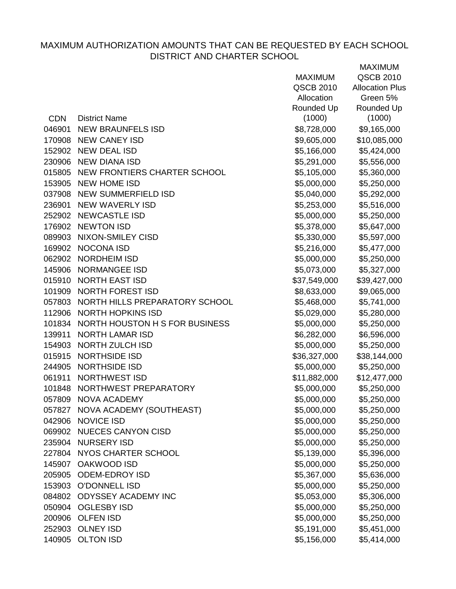|            |                                       | <b>MAXIMUM</b> | QSCB 2010              |
|------------|---------------------------------------|----------------|------------------------|
|            |                                       | QSCB 2010      | <b>Allocation Plus</b> |
|            |                                       | Allocation     | Green 5%               |
|            |                                       | Rounded Up     | Rounded Up             |
| <b>CDN</b> | <b>District Name</b>                  | (1000)         | (1000)                 |
| 046901     | <b>NEW BRAUNFELS ISD</b>              | \$8,728,000    | \$9,165,000            |
|            | 170908 NEW CANEY ISD                  | \$9,605,000    | \$10,085,000           |
|            | 152902 NEW DEAL ISD                   | \$5,166,000    | \$5,424,000            |
|            | 230906 NEW DIANA ISD                  | \$5,291,000    | \$5,556,000            |
|            | 015805 NEW FRONTIERS CHARTER SCHOOL   | \$5,105,000    | \$5,360,000            |
|            | 153905 NEW HOME ISD                   | \$5,000,000    | \$5,250,000            |
|            | 037908 NEW SUMMERFIELD ISD            | \$5,040,000    | \$5,292,000            |
| 236901     | NEW WAVERLY ISD                       | \$5,253,000    | \$5,516,000            |
|            | 252902 NEWCASTLE ISD                  | \$5,000,000    | \$5,250,000            |
|            | 176902 NEWTON ISD                     | \$5,378,000    | \$5,647,000            |
|            | 089903 NIXON-SMILEY CISD              | \$5,330,000    | \$5,597,000            |
|            | 169902 NOCONA ISD                     | \$5,216,000    | \$5,477,000            |
|            | 062902 NORDHEIM ISD                   | \$5,000,000    | \$5,250,000            |
|            | 145906 NORMANGEE ISD                  | \$5,073,000    | \$5,327,000            |
|            | 015910 NORTH EAST ISD                 | \$37,549,000   | \$39,427,000           |
|            | 101909 NORTH FOREST ISD               | \$8,633,000    | \$9,065,000            |
|            | 057803 NORTH HILLS PREPARATORY SCHOOL | \$5,468,000    | \$5,741,000            |
|            | 112906 NORTH HOPKINS ISD              | \$5,029,000    | \$5,280,000            |
|            | 101834 NORTH HOUSTON H S FOR BUSINESS | \$5,000,000    | \$5,250,000            |
| 139911     | <b>NORTH LAMAR ISD</b>                | \$6,282,000    | \$6,596,000            |
|            | 154903 NORTH ZULCH ISD                | \$5,000,000    | \$5,250,000            |
| 015915     | <b>NORTHSIDE ISD</b>                  | \$36,327,000   | \$38,144,000           |
|            | 244905 NORTHSIDE ISD                  | \$5,000,000    | \$5,250,000            |
| 061911     | NORTHWEST ISD                         | \$11,882,000   | \$12,477,000           |
|            | 101848 NORTHWEST PREPARATORY          | \$5,000,000    | \$5,250,000            |
|            | 057809 NOVA ACADEMY                   | \$5,000,000    | \$5,250,000            |
| 057827     | NOVA ACADEMY (SOUTHEAST)              | \$5,000,000    | \$5,250,000            |
| 042906     | <b>NOVICE ISD</b>                     | \$5,000,000    | \$5,250,000            |
|            | 069902 NUECES CANYON CISD             | \$5,000,000    | \$5,250,000            |
| 235904     | <b>NURSERY ISD</b>                    | \$5,000,000    | \$5,250,000            |
| 227804     | NYOS CHARTER SCHOOL                   | \$5,139,000    | \$5,396,000            |
| 145907     | <b>OAKWOOD ISD</b>                    | \$5,000,000    | \$5,250,000            |
| 205905     | <b>ODEM-EDROY ISD</b>                 | \$5,367,000    | \$5,636,000            |
| 153903     | <b>O'DONNELL ISD</b>                  | \$5,000,000    | \$5,250,000            |
| 084802     | ODYSSEY ACADEMY INC                   | \$5,053,000    | \$5,306,000            |
| 050904     | <b>OGLESBY ISD</b>                    | \$5,000,000    | \$5,250,000            |
| 200906     | <b>OLFEN ISD</b>                      | \$5,000,000    | \$5,250,000            |
|            | 252903 OLNEY ISD                      | \$5,191,000    | \$5,451,000            |
| 140905     | <b>OLTON ISD</b>                      | \$5,156,000    | \$5,414,000            |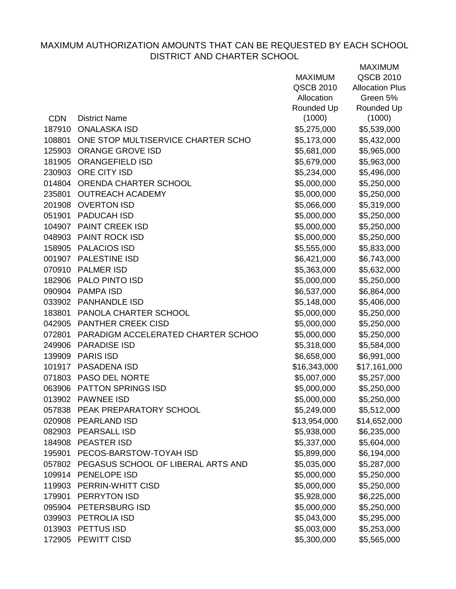|            |                                           |                | <b>MAXIMUM</b>         |
|------------|-------------------------------------------|----------------|------------------------|
|            |                                           | <b>MAXIMUM</b> | <b>QSCB 2010</b>       |
|            |                                           | QSCB 2010      | <b>Allocation Plus</b> |
|            |                                           | Allocation     | Green 5%               |
|            |                                           | Rounded Up     | Rounded Up             |
| <b>CDN</b> | <b>District Name</b>                      | (1000)         | (1000)                 |
| 187910     | <b>ONALASKA ISD</b>                       | \$5,275,000    | \$5,539,000            |
| 108801     | ONE STOP MULTISERVICE CHARTER SCHO        | \$5,173,000    | \$5,432,000            |
| 125903     | <b>ORANGE GROVE ISD</b>                   | \$5,681,000    | \$5,965,000            |
| 181905     | <b>ORANGEFIELD ISD</b>                    | \$5,679,000    | \$5,963,000            |
|            | 230903 ORE CITY ISD                       | \$5,234,000    | \$5,496,000            |
|            | 014804 ORENDA CHARTER SCHOOL              | \$5,000,000    | \$5,250,000            |
| 235801     | <b>OUTREACH ACADEMY</b>                   | \$5,000,000    | \$5,250,000            |
|            | 201908 OVERTON ISD                        | \$5,066,000    | \$5,319,000            |
| 051901     | <b>PADUCAH ISD</b>                        | \$5,000,000    | \$5,250,000            |
| 104907     | <b>PAINT CREEK ISD</b>                    | \$5,000,000    | \$5,250,000            |
|            | 048903 PAINT ROCK ISD                     | \$5,000,000    | \$5,250,000            |
|            | 158905 PALACIOS ISD                       | \$5,555,000    | \$5,833,000            |
|            | 001907 PALESTINE ISD                      | \$6,421,000    | \$6,743,000            |
| 070910     | <b>PALMER ISD</b>                         | \$5,363,000    | \$5,632,000            |
|            | 182906 PALO PINTO ISD                     | \$5,000,000    | \$5,250,000            |
|            | 090904 PAMPA ISD                          | \$6,537,000    | \$6,864,000            |
|            | 033902 PANHANDLE ISD                      | \$5,148,000    | \$5,406,000            |
| 183801     | PANOLA CHARTER SCHOOL                     | \$5,000,000    | \$5,250,000            |
| 042905     | <b>PANTHER CREEK CISD</b>                 | \$5,000,000    | \$5,250,000            |
|            | 072801 PARADIGM ACCELERATED CHARTER SCHOO | \$5,000,000    | \$5,250,000            |
| 249906     | <b>PARADISE ISD</b>                       | \$5,318,000    | \$5,584,000            |
|            | 139909 PARIS ISD                          | \$6,658,000    | \$6,991,000            |
| 101917     | <b>PASADENA ISD</b>                       | \$16,343,000   | \$17,161,000           |
|            | 071803 PASO DEL NORTE                     | \$5,007,000    | \$5,257,000            |
|            | 063906 PATTON SPRINGS ISD                 | \$5,000,000    | \$5,250,000            |
|            | 013902 PAWNEE ISD                         | \$5,000,000    | \$5,250,000            |
|            | 057838 PEAK PREPARATORY SCHOOL            | \$5,249,000    | \$5,512,000            |
|            | 020908 PEARLAND ISD                       | \$13,954,000   | \$14,652,000           |
|            | 082903 PEARSALL ISD                       | \$5,938,000    | \$6,235,000            |
|            | 184908 PEASTER ISD                        | \$5,337,000    | \$5,604,000            |
| 195901     | PECOS-BARSTOW-TOYAH ISD                   | \$5,899,000    | \$6,194,000            |
|            | 057802 PEGASUS SCHOOL OF LIBERAL ARTS AND | \$5,035,000    | \$5,287,000            |
|            | 109914 PENELOPE ISD                       | \$5,000,000    | \$5,250,000            |
|            | 119903 PERRIN-WHITT CISD                  | \$5,000,000    | \$5,250,000            |
| 179901     | PERRYTON ISD                              | \$5,928,000    | \$6,225,000            |
|            | 095904 PETERSBURG ISD                     | \$5,000,000    | \$5,250,000            |
|            | 039903 PETROLIA ISD                       | \$5,043,000    | \$5,295,000            |
|            | 013903 PETTUS ISD                         | \$5,003,000    | \$5,253,000            |
|            | 172905 PEWITT CISD                        | \$5,300,000    | \$5,565,000            |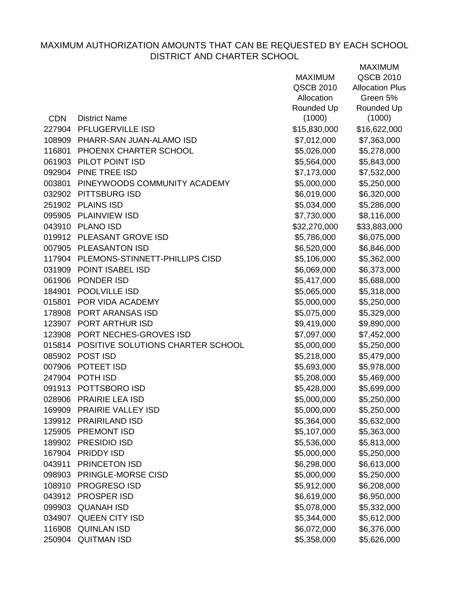|            |                                          | <b>MAXIMUM</b> | QSCB 2010              |
|------------|------------------------------------------|----------------|------------------------|
|            |                                          | QSCB 2010      | <b>Allocation Plus</b> |
|            |                                          | Allocation     | Green 5%               |
|            |                                          | Rounded Up     | Rounded Up             |
| <b>CDN</b> | <b>District Name</b>                     | (1000)         | (1000)                 |
|            | 227904 PFLUGERVILLE ISD                  | \$15,830,000   | \$16,622,000           |
|            | 108909 PHARR-SAN JUAN-ALAMO ISD          | \$7,012,000    | \$7,363,000            |
| 116801     | PHOENIX CHARTER SCHOOL                   | \$5,026,000    | \$5,278,000            |
|            | 061903 PILOT POINT ISD                   | \$5,564,000    | \$5,843,000            |
|            | 092904 PINE TREE ISD                     | \$7,173,000    | \$7,532,000            |
| 003801     | PINEYWOODS COMMUNITY ACADEMY             | \$5,000,000    | \$5,250,000            |
|            | 032902 PITTSBURG ISD                     | \$6,019,000    | \$6,320,000            |
|            | 251902 PLAINS ISD                        | \$5,034,000    | \$5,286,000            |
|            | 095905 PLAINVIEW ISD                     | \$7,730,000    | \$8,116,000            |
|            | 043910 PLANO ISD                         | \$32,270,000   | \$33,883,000           |
|            | 019912 PLEASANT GROVE ISD                | \$5,786,000    | \$6,075,000            |
|            | 007905 PLEASANTON ISD                    | \$6,520,000    | \$6,846,000            |
|            | 117904 PLEMONS-STINNETT-PHILLIPS CISD    | \$5,106,000    | \$5,362,000            |
|            | 031909 POINT ISABEL ISD                  | \$6,069,000    | \$6,373,000            |
| 061906     | PONDER ISD                               | \$5,417,000    | \$5,688,000            |
| 184901     | <b>POOLVILLE ISD</b>                     | \$5,065,000    | \$5,318,000            |
| 015801     | POR VIDA ACADEMY                         | \$5,000,000    | \$5,250,000            |
|            | 178908 PORT ARANSAS ISD                  | \$5,075,000    | \$5,329,000            |
|            | 123907 PORT ARTHUR ISD                   | \$9,419,000    | \$9,890,000            |
|            | 123908 PORT NECHES-GROVES ISD            | \$7,097,000    | \$7,452,000            |
|            | 015814 POSITIVE SOLUTIONS CHARTER SCHOOL | \$5,000,000    | \$5,250,000            |
|            | 085902 POST ISD                          | \$5,218,000    | \$5,479,000            |
|            | 007906 POTEET ISD                        | \$5,693,000    | \$5,978,000            |
|            | 247904 POTH ISD                          | \$5,208,000    | \$5,469,000            |
|            | 091913 POTTSBORO ISD                     | \$5,428,000    | \$5,699,000            |
|            | 028906 PRAIRIE LEA ISD                   | \$5,000,000    | \$5,250,000            |
| 169909     | PRAIRIE VALLEY ISD                       | \$5,000,000    | \$5,250,000            |
| 139912     | <b>PRAIRILAND ISD</b>                    | \$5,364,000    | \$5,632,000            |
| 125905     | <b>PREMONT ISD</b>                       | \$5,107,000    | \$5,363,000            |
|            | 189902 PRESIDIO ISD                      | \$5,536,000    | \$5,813,000            |
| 167904     | <b>PRIDDY ISD</b>                        | \$5,000,000    | \$5,250,000            |
| 043911     | PRINCETON ISD                            | \$6,298,000    | \$6,613,000            |
| 098903     | PRINGLE-MORSE CISD                       | \$5,000,000    | \$5,250,000            |
| 108910     | <b>PROGRESO ISD</b>                      | \$5,912,000    | \$6,208,000            |
| 043912     | <b>PROSPER ISD</b>                       | \$6,619,000    | \$6,950,000            |
| 099903     | <b>QUANAH ISD</b>                        | \$5,078,000    | \$5,332,000            |
| 034907     | QUEEN CITY ISD                           | \$5,344,000    | \$5,612,000            |
| 116908     | <b>QUINLAN ISD</b>                       | \$6,072,000    | \$6,376,000            |
| 250904     | <b>QUITMAN ISD</b>                       | \$5,358,000    | \$5,626,000            |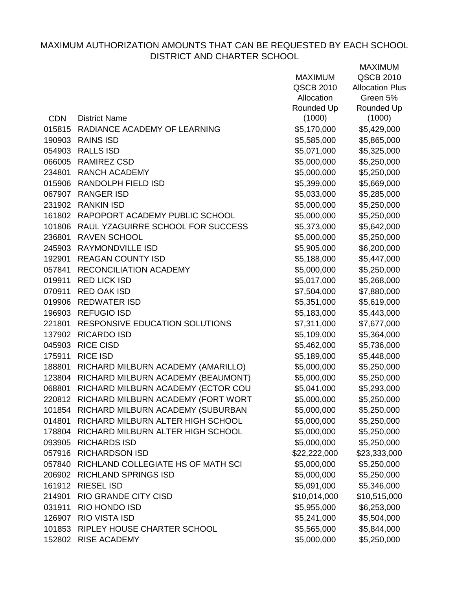|            |                                           | <b>MAXIMUM</b> | <b>QSCB 2010</b>       |
|------------|-------------------------------------------|----------------|------------------------|
|            |                                           | QSCB 2010      | <b>Allocation Plus</b> |
|            |                                           | Allocation     | Green 5%               |
|            |                                           | Rounded Up     | Rounded Up             |
| <b>CDN</b> | <b>District Name</b>                      | (1000)         | (1000)                 |
| 015815     | RADIANCE ACADEMY OF LEARNING              | \$5,170,000    | \$5,429,000            |
| 190903     | <b>RAINS ISD</b>                          | \$5,585,000    | \$5,865,000            |
| 054903     | <b>RALLS ISD</b>                          | \$5,071,000    | \$5,325,000            |
| 066005     | <b>RAMIREZ CSD</b>                        | \$5,000,000    | \$5,250,000            |
| 234801     | <b>RANCH ACADEMY</b>                      | \$5,000,000    | \$5,250,000            |
|            | 015906 RANDOLPH FIELD ISD                 | \$5,399,000    | \$5,669,000            |
| 067907     | <b>RANGER ISD</b>                         | \$5,033,000    | \$5,285,000            |
|            | 231902 RANKIN ISD                         | \$5,000,000    | \$5,250,000            |
| 161802     | RAPOPORT ACADEMY PUBLIC SCHOOL            | \$5,000,000    | \$5,250,000            |
| 101806     | RAUL YZAGUIRRE SCHOOL FOR SUCCESS         | \$5,373,000    | \$5,642,000            |
| 236801     | <b>RAVEN SCHOOL</b>                       | \$5,000,000    | \$5,250,000            |
| 245903     | RAYMONDVILLE ISD                          | \$5,905,000    | \$6,200,000            |
| 192901     | <b>REAGAN COUNTY ISD</b>                  | \$5,188,000    | \$5,447,000            |
| 057841     | RECONCILIATION ACADEMY                    | \$5,000,000    | \$5,250,000            |
| 019911     | <b>RED LICK ISD</b>                       | \$5,017,000    | \$5,268,000            |
| 070911     | <b>RED OAK ISD</b>                        | \$7,504,000    | \$7,880,000            |
| 019906     | <b>REDWATER ISD</b>                       | \$5,351,000    | \$5,619,000            |
|            | 196903 REFUGIO ISD                        | \$5,183,000    | \$5,443,000            |
| 221801     | <b>RESPONSIVE EDUCATION SOLUTIONS</b>     | \$7,311,000    | \$7,677,000            |
|            | 137902 RICARDO ISD                        | \$5,109,000    | \$5,364,000            |
| 045903     | <b>RICE CISD</b>                          | \$5,462,000    | \$5,736,000            |
| 175911     | <b>RICE ISD</b>                           | \$5,189,000    | \$5,448,000            |
| 188801     | RICHARD MILBURN ACADEMY (AMARILLO)        | \$5,000,000    | \$5,250,000            |
| 123804     | RICHARD MILBURN ACADEMY (BEAUMONT)        | \$5,000,000    | \$5,250,000            |
| 068801     | RICHARD MILBURN ACADEMY (ECTOR COU        | \$5,041,000    | \$5,293,000            |
| 220812     | RICHARD MILBURN ACADEMY (FORT WORT        | \$5,000,000    | \$5,250,000            |
|            | 101854 RICHARD MILBURN ACADEMY (SUBURBAN  | \$5,000,000    | \$5,250,000            |
| 014801     | RICHARD MILBURN ALTER HIGH SCHOOL         | \$5,000,000    | \$5,250,000            |
| 178804     | RICHARD MILBURN ALTER HIGH SCHOOL         | \$5,000,000    | \$5,250,000            |
| 093905     | <b>RICHARDS ISD</b>                       | \$5,000,000    | \$5,250,000            |
| 057916     | <b>RICHARDSON ISD</b>                     | \$22,222,000   | \$23,333,000           |
|            | 057840 RICHLAND COLLEGIATE HS OF MATH SCI | \$5,000,000    | \$5,250,000            |
| 206902     | <b>RICHLAND SPRINGS ISD</b>               | \$5,000,000    | \$5,250,000            |
| 161912     | <b>RIESEL ISD</b>                         | \$5,091,000    | \$5,346,000            |
| 214901     | RIO GRANDE CITY CISD                      | \$10,014,000   | \$10,515,000           |
| 031911     | RIO HONDO ISD                             | \$5,955,000    | \$6,253,000            |
| 126907     | <b>RIO VISTA ISD</b>                      | \$5,241,000    | \$5,504,000            |
| 101853     | RIPLEY HOUSE CHARTER SCHOOL               | \$5,565,000    | \$5,844,000            |
|            | 152802 RISE ACADEMY                       | \$5,000,000    | \$5,250,000            |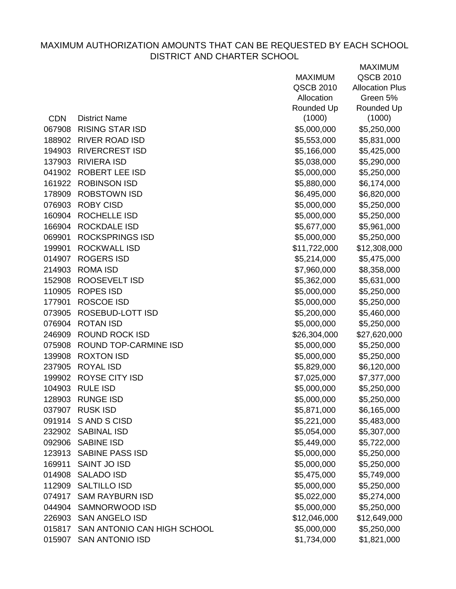|            |                                    | <b>MAXIMUM</b> | QSCB 2010              |
|------------|------------------------------------|----------------|------------------------|
|            |                                    | QSCB 2010      | <b>Allocation Plus</b> |
|            |                                    | Allocation     | Green 5%               |
|            |                                    | Rounded Up     | Rounded Up             |
| <b>CDN</b> | <b>District Name</b>               | (1000)         | (1000)                 |
| 067908     | <b>RISING STAR ISD</b>             | \$5,000,000    | \$5,250,000            |
| 188902     | <b>RIVER ROAD ISD</b>              | \$5,553,000    | \$5,831,000            |
| 194903     | <b>RIVERCREST ISD</b>              | \$5,166,000    | \$5,425,000            |
| 137903     | <b>RIVIERA ISD</b>                 | \$5,038,000    | \$5,290,000            |
| 041902     | <b>ROBERT LEE ISD</b>              | \$5,000,000    | \$5,250,000            |
| 161922     | <b>ROBINSON ISD</b>                | \$5,880,000    | \$6,174,000            |
| 178909     | <b>ROBSTOWN ISD</b>                | \$6,495,000    | \$6,820,000            |
| 076903     | <b>ROBY CISD</b>                   | \$5,000,000    | \$5,250,000            |
| 160904     | ROCHELLE ISD                       | \$5,000,000    | \$5,250,000            |
| 166904     | <b>ROCKDALE ISD</b>                | \$5,677,000    | \$5,961,000            |
| 069901     | <b>ROCKSPRINGS ISD</b>             | \$5,000,000    | \$5,250,000            |
| 199901     | <b>ROCKWALL ISD</b>                | \$11,722,000   | \$12,308,000           |
| 014907     | <b>ROGERS ISD</b>                  | \$5,214,000    | \$5,475,000            |
| 214903     | <b>ROMA ISD</b>                    | \$7,960,000    | \$8,358,000            |
| 152908     | ROOSEVELT ISD                      | \$5,362,000    | \$5,631,000            |
| 110905     | <b>ROPES ISD</b>                   | \$5,000,000    | \$5,250,000            |
| 177901     | <b>ROSCOE ISD</b>                  | \$5,000,000    | \$5,250,000            |
| 073905     | ROSEBUD-LOTT ISD                   | \$5,200,000    | \$5,460,000            |
| 076904     | <b>ROTAN ISD</b>                   | \$5,000,000    | \$5,250,000            |
| 246909     | <b>ROUND ROCK ISD</b>              | \$26,304,000   | \$27,620,000           |
| 075908     | ROUND TOP-CARMINE ISD              | \$5,000,000    | \$5,250,000            |
| 139908     | <b>ROXTON ISD</b>                  | \$5,000,000    | \$5,250,000            |
| 237905     | <b>ROYAL ISD</b>                   | \$5,829,000    | \$6,120,000            |
|            | 199902 ROYSE CITY ISD              | \$7,025,000    | \$7,377,000            |
| 104903     | <b>RULE ISD</b>                    | \$5,000,000    | \$5,250,000            |
|            | 128903 RUNGE ISD                   | \$5,000,000    | \$5,250,000            |
| 037907     | <b>RUSK ISD</b>                    | \$5,871,000    | \$6,165,000            |
| 091914     | S AND S CISD                       | \$5,221,000    | \$5,483,000            |
| 232902     | <b>SABINAL ISD</b>                 | \$5,054,000    | \$5,307,000            |
|            | 092906 SABINE ISD                  | \$5,449,000    | \$5,722,000            |
|            | 123913 SABINE PASS ISD             | \$5,000,000    | \$5,250,000            |
| 169911     | <b>SAINT JO ISD</b>                | \$5,000,000    | \$5,250,000            |
|            | 014908 SALADO ISD                  | \$5,475,000    | \$5,749,000            |
| 112909     | <b>SALTILLO ISD</b>                | \$5,000,000    | \$5,250,000            |
| 074917     | <b>SAM RAYBURN ISD</b>             | \$5,022,000    | \$5,274,000            |
| 044904     | SAMNORWOOD ISD                     | \$5,000,000    | \$5,250,000            |
| 226903     | <b>SAN ANGELO ISD</b>              | \$12,046,000   | \$12,649,000           |
|            | 015817 SAN ANTONIO CAN HIGH SCHOOL | \$5,000,000    | \$5,250,000            |
| 015907     | <b>SAN ANTONIO ISD</b>             | \$1,734,000    | \$1,821,000            |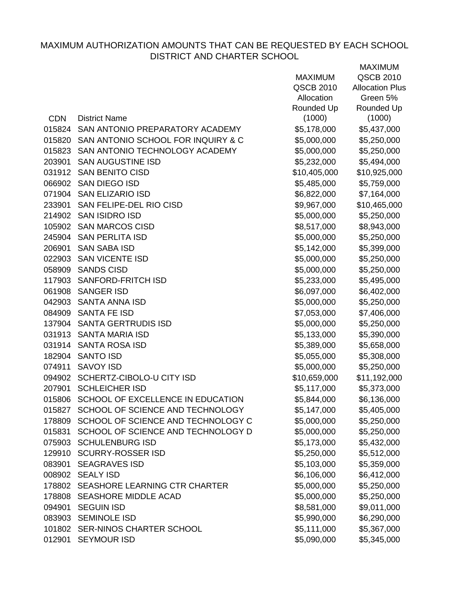|            |                                           |                | <b>MAXIMUM</b>         |
|------------|-------------------------------------------|----------------|------------------------|
|            |                                           | <b>MAXIMUM</b> | <b>QSCB 2010</b>       |
|            |                                           | QSCB 2010      | <b>Allocation Plus</b> |
|            |                                           | Allocation     | Green 5%               |
|            |                                           | Rounded Up     | Rounded Up             |
| <b>CDN</b> | <b>District Name</b>                      | (1000)         | (1000)                 |
| 015824     | SAN ANTONIO PREPARATORY ACADEMY           | \$5,178,000    | \$5,437,000            |
| 015820     | SAN ANTONIO SCHOOL FOR INQUIRY & C        | \$5,000,000    | \$5,250,000            |
|            | 015823 SAN ANTONIO TECHNOLOGY ACADEMY     | \$5,000,000    | \$5,250,000            |
| 203901     | <b>SAN AUGUSTINE ISD</b>                  | \$5,232,000    | \$5,494,000            |
| 031912     | <b>SAN BENITO CISD</b>                    | \$10,405,000   | \$10,925,000           |
|            | 066902 SAN DIEGO ISD                      | \$5,485,000    | \$5,759,000            |
|            | 071904 SAN ELIZARIO ISD                   | \$6,822,000    | \$7,164,000            |
|            | 233901 SAN FELIPE-DEL RIO CISD            | \$9,967,000    | \$10,465,000           |
| 214902     | <b>SAN ISIDRO ISD</b>                     | \$5,000,000    | \$5,250,000            |
|            | 105902 SAN MARCOS CISD                    | \$8,517,000    | \$8,943,000            |
|            | 245904 SAN PERLITA ISD                    | \$5,000,000    | \$5,250,000            |
| 206901     | <b>SAN SABA ISD</b>                       | \$5,142,000    | \$5,399,000            |
|            | 022903 SAN VICENTE ISD                    | \$5,000,000    | \$5,250,000            |
| 058909     | <b>SANDS CISD</b>                         | \$5,000,000    | \$5,250,000            |
|            | 117903 SANFORD-FRITCH ISD                 | \$5,233,000    | \$5,495,000            |
|            | 061908 SANGER ISD                         | \$6,097,000    | \$6,402,000            |
|            | 042903 SANTA ANNA ISD                     | \$5,000,000    | \$5,250,000            |
|            | 084909 SANTA FE ISD                       | \$7,053,000    | \$7,406,000            |
|            | 137904 SANTA GERTRUDIS ISD                | \$5,000,000    | \$5,250,000            |
|            | 031913 SANTA MARIA ISD                    | \$5,133,000    | \$5,390,000            |
| 031914     | <b>SANTA ROSA ISD</b>                     | \$5,389,000    | \$5,658,000            |
|            | 182904 SANTO ISD                          | \$5,055,000    | \$5,308,000            |
| 074911     | <b>SAVOY ISD</b>                          | \$5,000,000    | \$5,250,000            |
| 094902     | SCHERTZ-CIBOLO-U CITY ISD                 | \$10,659,000   | \$11,192,000           |
|            | 207901 SCHLEICHER ISD                     | \$5,117,000    | \$5,373,000            |
| 015806     | SCHOOL OF EXCELLENCE IN EDUCATION         | \$5,844,000    | \$6,136,000            |
| 015827     | SCHOOL OF SCIENCE AND TECHNOLOGY          | \$5,147,000    | \$5,405,000            |
| 178809     | SCHOOL OF SCIENCE AND TECHNOLOGY C        | \$5,000,000    | \$5,250,000            |
|            | 015831 SCHOOL OF SCIENCE AND TECHNOLOGY D | \$5,000,000    | \$5,250,000            |
| 075903     | <b>SCHULENBURG ISD</b>                    | \$5,173,000    | \$5,432,000            |
|            | 129910 SCURRY-ROSSER ISD                  | \$5,250,000    | \$5,512,000            |
|            | 083901 SEAGRAVES ISD                      | \$5,103,000    | \$5,359,000            |
|            | 008902 SEALY ISD                          | \$6,106,000    | \$6,412,000            |
|            | 178802 SEASHORE LEARNING CTR CHARTER      | \$5,000,000    | \$5,250,000            |
| 178808     | <b>SEASHORE MIDDLE ACAD</b>               | \$5,000,000    | \$5,250,000            |
| 094901     | <b>SEGUIN ISD</b>                         | \$8,581,000    | \$9,011,000            |
|            | 083903 SEMINOLE ISD                       | \$5,990,000    | \$6,290,000            |
|            | 101802 SER-NINOS CHARTER SCHOOL           | \$5,111,000    | \$5,367,000            |
|            | 012901 SEYMOUR ISD                        | \$5,090,000    | \$5,345,000            |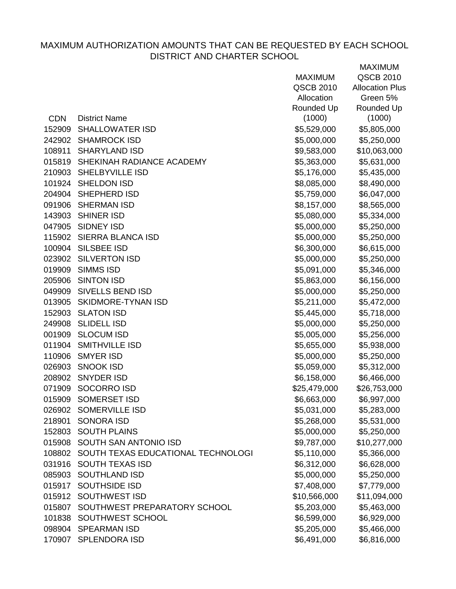|            |                                    | <b>MAXIMUM</b> | QSCB 2010              |
|------------|------------------------------------|----------------|------------------------|
|            |                                    | QSCB 2010      | <b>Allocation Plus</b> |
|            |                                    | Allocation     | Green 5%               |
|            |                                    | Rounded Up     | Rounded Up             |
| <b>CDN</b> | <b>District Name</b>               | (1000)         | (1000)                 |
| 152909     | <b>SHALLOWATER ISD</b>             | \$5,529,000    | \$5,805,000            |
|            | 242902 SHAMROCK ISD                | \$5,000,000    | \$5,250,000            |
| 108911     | <b>SHARYLAND ISD</b>               | \$9,583,000    | \$10,063,000           |
|            | 015819 SHEKINAH RADIANCE ACADEMY   | \$5,363,000    | \$5,631,000            |
|            | 210903 SHELBYVILLE ISD             | \$5,176,000    | \$5,435,000            |
|            | 101924 SHELDON ISD                 | \$8,085,000    | \$8,490,000            |
|            | 204904 SHEPHERD ISD                | \$5,759,000    | \$6,047,000            |
|            | 091906 SHERMAN ISD                 | \$8,157,000    | \$8,565,000            |
|            | 143903 SHINER ISD                  | \$5,080,000    | \$5,334,000            |
| 047905     | SIDNEY ISD                         | \$5,000,000    | \$5,250,000            |
|            | 115902 SIERRA BLANCA ISD           | \$5,000,000    | \$5,250,000            |
|            | 100904 SILSBEE ISD                 | \$6,300,000    | \$6,615,000            |
|            | 023902 SILVERTON ISD               | \$5,000,000    | \$5,250,000            |
|            | 019909 SIMMS ISD                   | \$5,091,000    | \$5,346,000            |
| 205906     | <b>SINTON ISD</b>                  | \$5,863,000    | \$6,156,000            |
|            | 049909 SIVELLS BEND ISD            | \$5,000,000    | \$5,250,000            |
| 013905     | SKIDMORE-TYNAN ISD                 | \$5,211,000    | \$5,472,000            |
|            | 152903 SLATON ISD                  | \$5,445,000    | \$5,718,000            |
|            | 249908 SLIDELL ISD                 | \$5,000,000    | \$5,250,000            |
| 001909     | <b>SLOCUM ISD</b>                  | \$5,005,000    | \$5,256,000            |
|            | 011904 SMITHVILLE ISD              | \$5,655,000    | \$5,938,000            |
| 110906     | <b>SMYER ISD</b>                   | \$5,000,000    | \$5,250,000            |
|            | 026903 SNOOK ISD                   | \$5,059,000    | \$5,312,000            |
|            | 208902 SNYDER ISD                  | \$6,158,000    | \$6,466,000            |
|            | 071909 SOCORRO ISD                 | \$25,479,000   | \$26,753,000           |
|            | 015909 SOMERSET ISD                | \$6,663,000    | \$6,997,000            |
| 026902     | <b>SOMERVILLE ISD</b>              | \$5,031,000    | \$5,283,000            |
| 218901     | <b>SONORA ISD</b>                  | \$5,268,000    | \$5,531,000            |
| 152803     | <b>SOUTH PLAINS</b>                | \$5,000,000    | \$5,250,000            |
| 015908     | SOUTH SAN ANTONIO ISD              | \$9,787,000    | \$10,277,000           |
| 108802     | SOUTH TEXAS EDUCATIONAL TECHNOLOGI | \$5,110,000    | \$5,366,000            |
| 031916     | <b>SOUTH TEXAS ISD</b>             | \$6,312,000    | \$6,628,000            |
| 085903     | <b>SOUTHLAND ISD</b>               | \$5,000,000    | \$5,250,000            |
| 015917     | <b>SOUTHSIDE ISD</b>               | \$7,408,000    | \$7,779,000            |
| 015912     | <b>SOUTHWEST ISD</b>               | \$10,566,000   | \$11,094,000           |
| 015807     | SOUTHWEST PREPARATORY SCHOOL       | \$5,203,000    | \$5,463,000            |
| 101838     | SOUTHWEST SCHOOL                   | \$6,599,000    | \$6,929,000            |
|            | 098904 SPEARMAN ISD                | \$5,205,000    | \$5,466,000            |
| 170907     | <b>SPLENDORA ISD</b>               | \$6,491,000    | \$6,816,000            |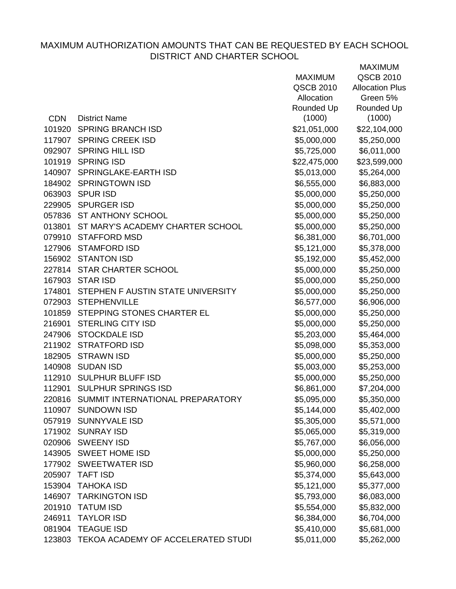|            |                                          | <b>MAXIMUM</b>   | QSCB 2010              |
|------------|------------------------------------------|------------------|------------------------|
|            |                                          | <b>QSCB 2010</b> | <b>Allocation Plus</b> |
|            |                                          | Allocation       | Green 5%               |
|            |                                          | Rounded Up       | Rounded Up             |
| <b>CDN</b> | <b>District Name</b>                     | (1000)           | (1000)                 |
|            | 101920 SPRING BRANCH ISD                 | \$21,051,000     | \$22,104,000           |
|            | 117907 SPRING CREEK ISD                  | \$5,000,000      | \$5,250,000            |
|            | 092907 SPRING HILL ISD                   | \$5,725,000      | \$6,011,000            |
|            | 101919 SPRING ISD                        | \$22,475,000     | \$23,599,000           |
|            | 140907 SPRINGLAKE-EARTH ISD              | \$5,013,000      | \$5,264,000            |
|            | 184902 SPRINGTOWN ISD                    | \$6,555,000      | \$6,883,000            |
|            | 063903 SPUR ISD                          | \$5,000,000      | \$5,250,000            |
|            | 229905 SPURGER ISD                       | \$5,000,000      | \$5,250,000            |
|            | 057836 ST ANTHONY SCHOOL                 | \$5,000,000      | \$5,250,000            |
|            | 013801 ST MARY'S ACADEMY CHARTER SCHOOL  | \$5,000,000      | \$5,250,000            |
|            | 079910 STAFFORD MSD                      | \$6,381,000      | \$6,701,000            |
|            | 127906 STAMFORD ISD                      | \$5,121,000      | \$5,378,000            |
|            | 156902 STANTON ISD                       | \$5,192,000      | \$5,452,000            |
|            | 227814 STAR CHARTER SCHOOL               | \$5,000,000      | \$5,250,000            |
|            | 167903 STAR ISD                          | \$5,000,000      | \$5,250,000            |
|            | 174801 STEPHEN F AUSTIN STATE UNIVERSITY | \$5,000,000      | \$5,250,000            |
|            | 072903 STEPHENVILLE                      | \$6,577,000      | \$6,906,000            |
|            | 101859 STEPPING STONES CHARTER EL        | \$5,000,000      | \$5,250,000            |
|            | 216901 STERLING CITY ISD                 | \$5,000,000      | \$5,250,000            |
|            | 247906 STOCKDALE ISD                     | \$5,203,000      | \$5,464,000            |
|            | 211902 STRATFORD ISD                     | \$5,098,000      | \$5,353,000            |
|            | 182905 STRAWN ISD                        | \$5,000,000      | \$5,250,000            |
|            | 140908 SUDAN ISD                         | \$5,003,000      | \$5,253,000            |
|            | 112910 SULPHUR BLUFF ISD                 | \$5,000,000      | \$5,250,000            |
| 112901     | <b>SULPHUR SPRINGS ISD</b>               | \$6,861,000      | \$7,204,000            |
|            | 220816 SUMMIT INTERNATIONAL PREPARATORY  | \$5,095,000      | \$5,350,000            |
| 110907     | <b>SUNDOWN ISD</b>                       | \$5,144,000      | \$5,402,000            |
| 057919     | <b>SUNNYVALE ISD</b>                     | \$5,305,000      | \$5,571,000            |
| 171902     | <b>SUNRAY ISD</b>                        | \$5,065,000      | \$5,319,000            |
| 020906     | <b>SWEENY ISD</b>                        | \$5,767,000      | \$6,056,000            |
|            | 143905 SWEET HOME ISD                    | \$5,000,000      | \$5,250,000            |
| 177902     | <b>SWEETWATER ISD</b>                    | \$5,960,000      | \$6,258,000            |
| 205907     | <b>TAFT ISD</b>                          | \$5,374,000      | \$5,643,000            |
| 153904     | <b>TAHOKA ISD</b>                        | \$5,121,000      | \$5,377,000            |
| 146907     | <b>TARKINGTON ISD</b>                    | \$5,793,000      | \$6,083,000            |
| 201910     | <b>TATUM ISD</b>                         | \$5,554,000      | \$5,832,000            |
| 246911     | <b>TAYLOR ISD</b>                        | \$6,384,000      | \$6,704,000            |
| 081904     | <b>TEAGUE ISD</b>                        | \$5,410,000      | \$5,681,000            |
| 123803     | TEKOA ACADEMY OF ACCELERATED STUDI       | \$5,011,000      | \$5,262,000            |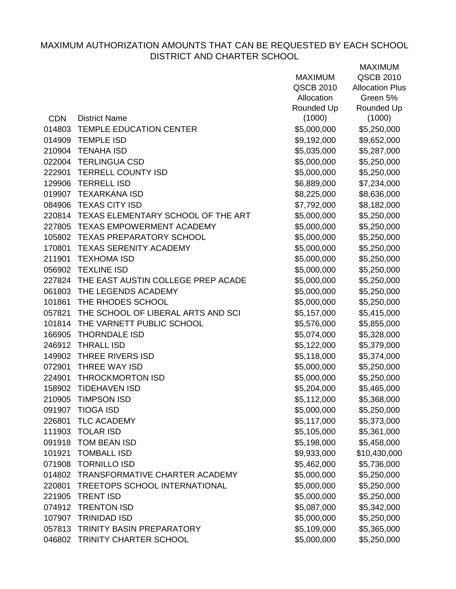|            |                                           | <b>MAXIMUM</b> | QSCB 2010              |
|------------|-------------------------------------------|----------------|------------------------|
|            |                                           | QSCB 2010      | <b>Allocation Plus</b> |
|            |                                           | Allocation     | Green 5%               |
|            |                                           | Rounded Up     | Rounded Up             |
| <b>CDN</b> | <b>District Name</b>                      | (1000)         | (1000)                 |
|            | 014803 TEMPLE EDUCATION CENTER            | \$5,000,000    | \$5,250,000            |
| 014909     | <b>TEMPLE ISD</b>                         | \$9,192,000    | \$9,652,000            |
|            | 210904 TENAHA ISD                         | \$5,035,000    | \$5,287,000            |
|            | 022004 TERLINGUA CSD                      | \$5,000,000    | \$5,250,000            |
|            | 222901 TERRELL COUNTY ISD                 | \$5,000,000    | \$5,250,000            |
|            | 129906 TERRELL ISD                        | \$6,889,000    | \$7,234,000            |
|            | 019907 TEXARKANA ISD                      | \$8,225,000    | \$8,636,000            |
|            | 084906 TEXAS CITY ISD                     | \$7,792,000    | \$8,182,000            |
|            | 220814 TEXAS ELEMENTARY SCHOOL OF THE ART | \$5,000,000    | \$5,250,000            |
|            | 227805 TEXAS EMPOWERMENT ACADEMY          | \$5,000,000    | \$5,250,000            |
|            | 105802 TEXAS PREPARATORY SCHOOL           | \$5,000,000    | \$5,250,000            |
|            | 170801 TEXAS SERENITY ACADEMY             | \$5,000,000    | \$5,250,000            |
| 211901     | TEXHOMA ISD                               | \$5,000,000    | \$5,250,000            |
|            | 056902 TEXLINE ISD                        | \$5,000,000    | \$5,250,000            |
|            | 227824 THE EAST AUSTIN COLLEGE PREP ACADE | \$5,000,000    | \$5,250,000            |
|            | 061803 THE LEGENDS ACADEMY                | \$5,000,000    | \$5,250,000            |
|            | 101861 THE RHODES SCHOOL                  | \$5,000,000    | \$5,250,000            |
| 057821     | THE SCHOOL OF LIBERAL ARTS AND SCI        | \$5,157,000    | \$5,415,000            |
|            | 101814 THE VARNETT PUBLIC SCHOOL          | \$5,576,000    | \$5,855,000            |
| 166905     | <b>THORNDALE ISD</b>                      | \$5,074,000    | \$5,328,000            |
|            | 246912 THRALL ISD                         | \$5,122,000    | \$5,379,000            |
|            | 149902 THREE RIVERS ISD                   | \$5,118,000    | \$5,374,000            |
|            | 072901 THREE WAY ISD                      | \$5,000,000    | \$5,250,000            |
| 224901     | <b>THROCKMORTON ISD</b>                   | \$5,000,000    | \$5,250,000            |
| 158902     | <b>TIDEHAVEN ISD</b>                      | \$5,204,000    | \$5,465,000            |
|            | 210905 TIMPSON ISD                        | \$5,112,000    | \$5,368,000            |
| 091907     | TIOGA ISD                                 | \$5,000,000    | \$5,250,000            |
| 226801     | <b>TLC ACADEMY</b>                        | \$5,117,000    | \$5,373,000            |
| 111903     | <b>TOLAR ISD</b>                          | \$5,105,000    | \$5,361,000            |
| 091918     | <b>TOM BEAN ISD</b>                       | \$5,198,000    | \$5,458,000            |
| 101921     | <b>TOMBALL ISD</b>                        | \$9,933,000    | \$10,430,000           |
| 071908     | <b>TORNILLO ISD</b>                       | \$5,462,000    | \$5,736,000            |
| 014802     | TRANSFORMATIVE CHARTER ACADEMY            | \$5,000,000    | \$5,250,000            |
| 220801     | <b>TREETOPS SCHOOL INTERNATIONAL</b>      | \$5,000,000    | \$5,250,000            |
| 221905     | <b>TRENT ISD</b>                          | \$5,000,000    | \$5,250,000            |
| 074912     | <b>TRENTON ISD</b>                        | \$5,087,000    | \$5,342,000            |
| 107907     | <b>TRINIDAD ISD</b>                       | \$5,000,000    | \$5,250,000            |
| 057813     | <b>TRINITY BASIN PREPARATORY</b>          | \$5,109,000    | \$5,365,000            |
|            | 046802 TRINITY CHARTER SCHOOL             | \$5,000,000    | \$5,250,000            |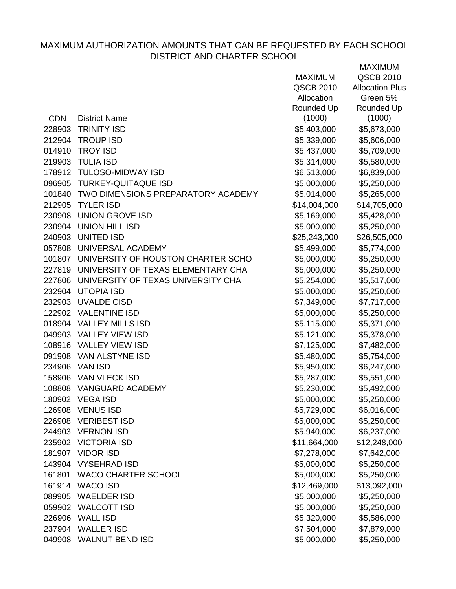|            |                                           | <b>MAXIMUM</b>   | <b>QSCB 2010</b>       |
|------------|-------------------------------------------|------------------|------------------------|
|            |                                           | <b>QSCB 2010</b> | <b>Allocation Plus</b> |
|            |                                           | Allocation       | Green 5%               |
|            |                                           | Rounded Up       | Rounded Up             |
| <b>CDN</b> | <b>District Name</b>                      | (1000)           | (1000)                 |
| 228903     | <b>TRINITY ISD</b>                        | \$5,403,000      | \$5,673,000            |
|            | 212904 TROUP ISD                          | \$5,339,000      | \$5,606,000            |
| 014910     | <b>TROY ISD</b>                           | \$5,437,000      | \$5,709,000            |
| 219903     | <b>TULIA ISD</b>                          | \$5,314,000      | \$5,580,000            |
| 178912     | <b>TULOSO-MIDWAY ISD</b>                  | \$6,513,000      | \$6,839,000            |
| 096905     | <b>TURKEY-QUITAQUE ISD</b>                | \$5,000,000      | \$5,250,000            |
|            | 101840 TWO DIMENSIONS PREPARATORY ACADEMY | \$5,014,000      | \$5,265,000            |
| 212905     | <b>TYLER ISD</b>                          | \$14,004,000     | \$14,705,000           |
| 230908     | <b>UNION GROVE ISD</b>                    | \$5,169,000      | \$5,428,000            |
| 230904     | <b>UNION HILL ISD</b>                     | \$5,000,000      | \$5,250,000            |
| 240903     | <b>UNITED ISD</b>                         | \$25,243,000     | \$26,505,000           |
|            | 057808 UNIVERSAL ACADEMY                  | \$5,499,000      | \$5,774,000            |
|            | 101807 UNIVERSITY OF HOUSTON CHARTER SCHO | \$5,000,000      | \$5,250,000            |
|            | 227819 UNIVERSITY OF TEXAS ELEMENTARY CHA | \$5,000,000      | \$5,250,000            |
| 227806     | UNIVERSITY OF TEXAS UNIVERSITY CHA        | \$5,254,000      | \$5,517,000            |
| 232904     | <b>UTOPIA ISD</b>                         | \$5,000,000      | \$5,250,000            |
| 232903     | <b>UVALDE CISD</b>                        | \$7,349,000      | \$7,717,000            |
|            | 122902 VALENTINE ISD                      | \$5,000,000      | \$5,250,000            |
|            | 018904 VALLEY MILLS ISD                   | \$5,115,000      | \$5,371,000            |
|            | 049903 VALLEY VIEW ISD                    | \$5,121,000      | \$5,378,000            |
|            | 108916 VALLEY VIEW ISD                    | \$7,125,000      | \$7,482,000            |
| 091908     | VAN ALSTYNE ISD                           | \$5,480,000      | \$5,754,000            |
| 234906     | VAN ISD                                   | \$5,950,000      | \$6,247,000            |
| 158906     | <b>VAN VLECK ISD</b>                      | \$5,287,000      | \$5,551,000            |
| 108808     | <b>VANGUARD ACADEMY</b>                   | \$5,230,000      | \$5,492,000            |
|            | 180902 VEGA ISD                           | \$5,000,000      | \$5,250,000            |
| 126908     | <b>VENUS ISD</b>                          | \$5,729,000      | \$6,016,000            |
| 226908     | <b>VERIBEST ISD</b>                       | \$5,000,000      | \$5,250,000            |
| 244903     | <b>VERNON ISD</b>                         | \$5,940,000      | \$6,237,000            |
| 235902     | <b>VICTORIA ISD</b>                       | \$11,664,000     | \$12,248,000           |
| 181907     | <b>VIDOR ISD</b>                          | \$7,278,000      | \$7,642,000            |
| 143904     | <b>VYSEHRAD ISD</b>                       | \$5,000,000      | \$5,250,000            |
| 161801     | <b>WACO CHARTER SCHOOL</b>                | \$5,000,000      | \$5,250,000            |
| 161914     | <b>WACO ISD</b>                           | \$12,469,000     | \$13,092,000           |
| 089905     | <b>WAELDER ISD</b>                        | \$5,000,000      | \$5,250,000            |
| 059902     | <b>WALCOTT ISD</b>                        | \$5,000,000      | \$5,250,000            |
| 226906     | <b>WALL ISD</b>                           | \$5,320,000      | \$5,586,000            |
| 237904     | <b>WALLER ISD</b>                         | \$7,504,000      | \$7,879,000            |
|            | 049908 WALNUT BEND ISD                    | \$5,000,000      | \$5,250,000            |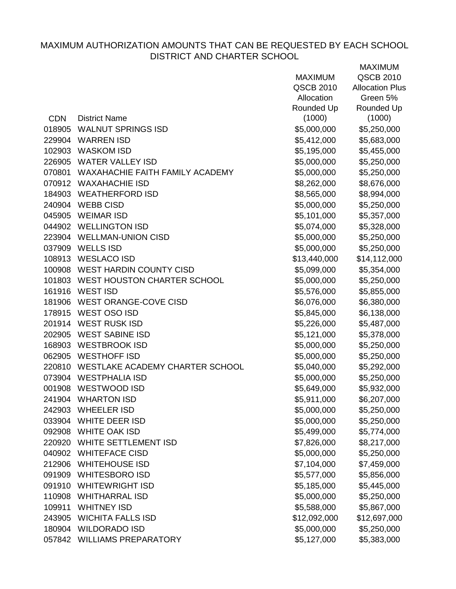|            |                                        | <b>MAXIMUM</b> | QSCB 2010              |
|------------|----------------------------------------|----------------|------------------------|
|            |                                        | QSCB 2010      | <b>Allocation Plus</b> |
|            |                                        | Allocation     | Green 5%               |
|            |                                        | Rounded Up     | Rounded Up             |
| <b>CDN</b> | <b>District Name</b>                   | (1000)         | (1000)                 |
|            | 018905 WALNUT SPRINGS ISD              | \$5,000,000    | \$5,250,000            |
|            | 229904 WARREN ISD                      | \$5,412,000    | \$5,683,000            |
|            | 102903 WASKOM ISD                      | \$5,195,000    | \$5,455,000            |
|            | 226905 WATER VALLEY ISD                | \$5,000,000    | \$5,250,000            |
|            | 070801 WAXAHACHIE FAITH FAMILY ACADEMY | \$5,000,000    | \$5,250,000            |
|            | 070912 WAXAHACHIE ISD                  | \$8,262,000    | \$8,676,000            |
|            | 184903 WEATHERFORD ISD                 | \$8,565,000    | \$8,994,000            |
|            | 240904 WEBB CISD                       | \$5,000,000    | \$5,250,000            |
|            | 045905 WEIMAR ISD                      | \$5,101,000    | \$5,357,000            |
|            | 044902 WELLINGTON ISD                  | \$5,074,000    | \$5,328,000            |
|            | 223904 WELLMAN-UNION CISD              | \$5,000,000    | \$5,250,000            |
|            | 037909 WELLS ISD                       | \$5,000,000    | \$5,250,000            |
|            | 108913 WESLACO ISD                     | \$13,440,000   | \$14,112,000           |
|            | 100908 WEST HARDIN COUNTY CISD         | \$5,099,000    | \$5,354,000            |
|            | 101803 WEST HOUSTON CHARTER SCHOOL     | \$5,000,000    | \$5,250,000            |
|            | 161916 WEST ISD                        | \$5,576,000    | \$5,855,000            |
|            | 181906 WEST ORANGE-COVE CISD           | \$6,076,000    | \$6,380,000            |
|            | 178915 WEST OSO ISD                    | \$5,845,000    | \$6,138,000            |
|            | 201914 WEST RUSK ISD                   | \$5,226,000    | \$5,487,000            |
|            | 202905 WEST SABINE ISD                 | \$5,121,000    | \$5,378,000            |
|            | 168903 WESTBROOK ISD                   | \$5,000,000    | \$5,250,000            |
|            | 062905 WESTHOFF ISD                    | \$5,000,000    | \$5,250,000            |
|            | 220810 WESTLAKE ACADEMY CHARTER SCHOOL | \$5,040,000    | \$5,292,000            |
|            | 073904 WESTPHALIA ISD                  | \$5,000,000    | \$5,250,000            |
|            | 001908 WESTWOOD ISD                    | \$5,649,000    | \$5,932,000            |
|            | 241904 WHARTON ISD                     | \$5,911,000    | \$6,207,000            |
| 242903     | <b>WHEELER ISD</b>                     | \$5,000,000    | \$5,250,000            |
| 033904     | <b>WHITE DEER ISD</b>                  | \$5,000,000    | \$5,250,000            |
|            | 092908 WHITE OAK ISD                   | \$5,499,000    | \$5,774,000            |
| 220920     | WHITE SETTLEMENT ISD                   | \$7,826,000    | \$8,217,000            |
| 040902     | <b>WHITEFACE CISD</b>                  | \$5,000,000    | \$5,250,000            |
|            | 212906 WHITEHOUSE ISD                  | \$7,104,000    | \$7,459,000            |
|            | 091909 WHITESBORO ISD                  | \$5,577,000    | \$5,856,000            |
| 091910     | <b>WHITEWRIGHT ISD</b>                 | \$5,185,000    | \$5,445,000            |
| 110908     | <b>WHITHARRAL ISD</b>                  | \$5,000,000    | \$5,250,000            |
| 109911     | <b>WHITNEY ISD</b>                     | \$5,588,000    | \$5,867,000            |
| 243905     | <b>WICHITA FALLS ISD</b>               | \$12,092,000   | \$12,697,000           |
| 180904     | <b>WILDORADO ISD</b>                   | \$5,000,000    | \$5,250,000            |
|            | 057842 WILLIAMS PREPARATORY            | \$5,127,000    | \$5,383,000            |